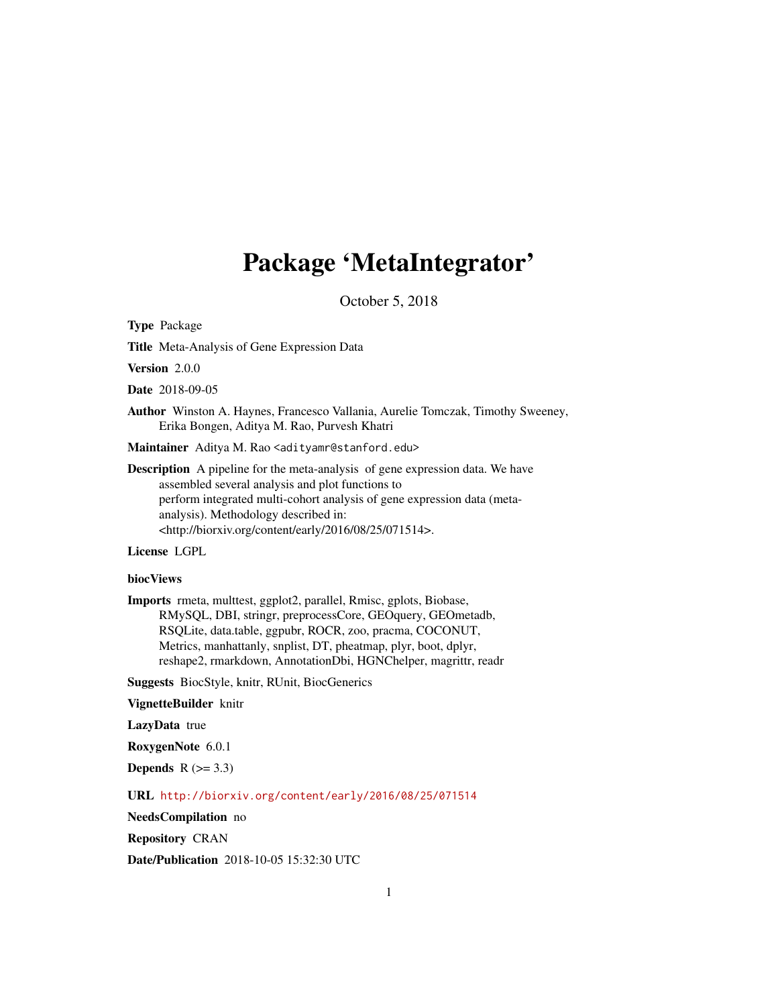# Package 'MetaIntegrator'

October 5, 2018

Type Package

Title Meta-Analysis of Gene Expression Data

Version 2.0.0

Date 2018-09-05

Author Winston A. Haynes, Francesco Vallania, Aurelie Tomczak, Timothy Sweeney, Erika Bongen, Aditya M. Rao, Purvesh Khatri

Maintainer Aditya M. Rao <adityamr@stanford.edu>

Description A pipeline for the meta-analysis of gene expression data. We have assembled several analysis and plot functions to perform integrated multi-cohort analysis of gene expression data (metaanalysis). Methodology described in: <http://biorxiv.org/content/early/2016/08/25/071514>.

License LGPL

## biocViews

Imports rmeta, multtest, ggplot2, parallel, Rmisc, gplots, Biobase, RMySQL, DBI, stringr, preprocessCore, GEOquery, GEOmetadb, RSQLite, data.table, ggpubr, ROCR, zoo, pracma, COCONUT, Metrics, manhattanly, snplist, DT, pheatmap, plyr, boot, dplyr, reshape2, rmarkdown, AnnotationDbi, HGNChelper, magrittr, readr

Suggests BiocStyle, knitr, RUnit, BiocGenerics

VignetteBuilder knitr

LazyData true

RoxygenNote 6.0.1

Depends  $R$  ( $>= 3.3$ )

URL <http://biorxiv.org/content/early/2016/08/25/071514>

NeedsCompilation no

Repository CRAN

Date/Publication 2018-10-05 15:32:30 UTC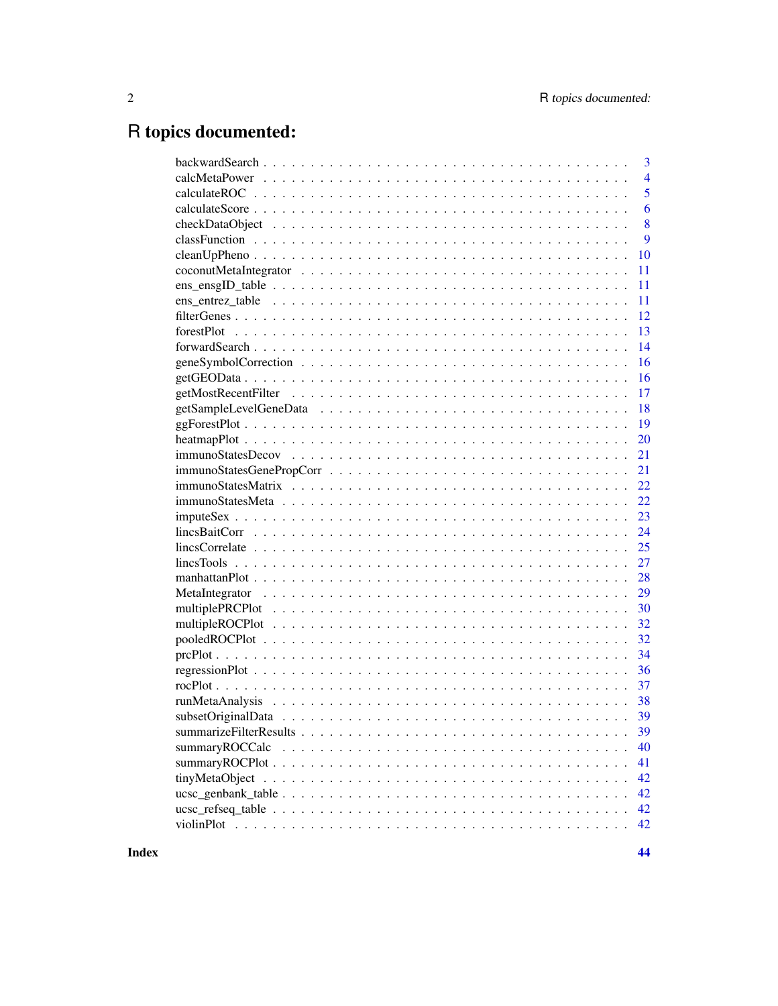## R topics documented:

| 3              |
|----------------|
| $\overline{4}$ |
| 5              |
| 6              |
| 8              |
| 9              |
| 10             |
| 11             |
| 11             |
| 11             |
| 12             |
| 13             |
| 14             |
| 16             |
| 16             |
| 17             |
| 18             |
| 19             |
| 20             |
| 21             |
| 21             |
| 22             |
| 22             |
| 23             |
| 24             |
|                |
| 27             |
| 28             |
| 29             |
| 30             |
| 32             |
| 32             |
| 34             |
| 36             |
| 37             |
|                |
|                |
| 39             |
| 40             |
| 41             |
| 42             |
| 42             |
| 42             |
| 42             |
|                |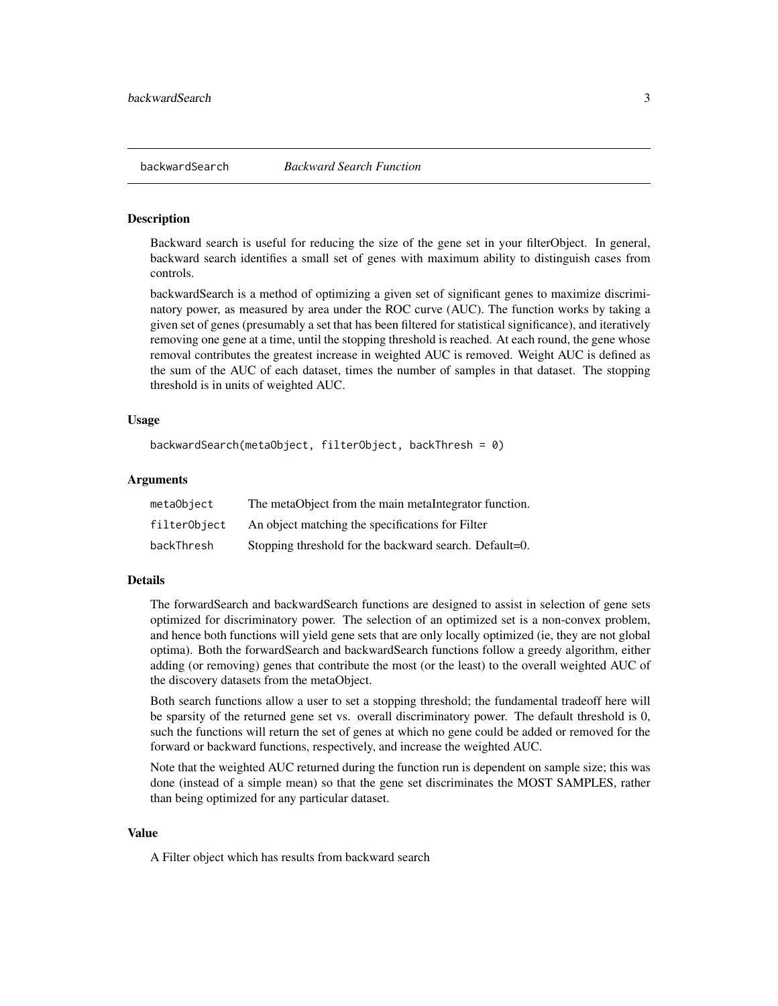<span id="page-2-1"></span><span id="page-2-0"></span>Backward search is useful for reducing the size of the gene set in your filterObject. In general, backward search identifies a small set of genes with maximum ability to distinguish cases from controls.

backwardSearch is a method of optimizing a given set of significant genes to maximize discriminatory power, as measured by area under the ROC curve (AUC). The function works by taking a given set of genes (presumably a set that has been filtered for statistical significance), and iteratively removing one gene at a time, until the stopping threshold is reached. At each round, the gene whose removal contributes the greatest increase in weighted AUC is removed. Weight AUC is defined as the sum of the AUC of each dataset, times the number of samples in that dataset. The stopping threshold is in units of weighted AUC.

## Usage

```
backwardSearch(metaObject, filterObject, backThresh = 0)
```
## Arguments

| metaObject   | The metaObject from the main metaIntegrator function.  |
|--------------|--------------------------------------------------------|
| filterObiect | An object matching the specifications for Filter       |
| backThresh   | Stopping threshold for the backward search. Default=0. |

#### Details

The forwardSearch and backwardSearch functions are designed to assist in selection of gene sets optimized for discriminatory power. The selection of an optimized set is a non-convex problem, and hence both functions will yield gene sets that are only locally optimized (ie, they are not global optima). Both the forwardSearch and backwardSearch functions follow a greedy algorithm, either adding (or removing) genes that contribute the most (or the least) to the overall weighted AUC of the discovery datasets from the metaObject.

Both search functions allow a user to set a stopping threshold; the fundamental tradeoff here will be sparsity of the returned gene set vs. overall discriminatory power. The default threshold is 0, such the functions will return the set of genes at which no gene could be added or removed for the forward or backward functions, respectively, and increase the weighted AUC.

Note that the weighted AUC returned during the function run is dependent on sample size; this was done (instead of a simple mean) so that the gene set discriminates the MOST SAMPLES, rather than being optimized for any particular dataset.

## Value

A Filter object which has results from backward search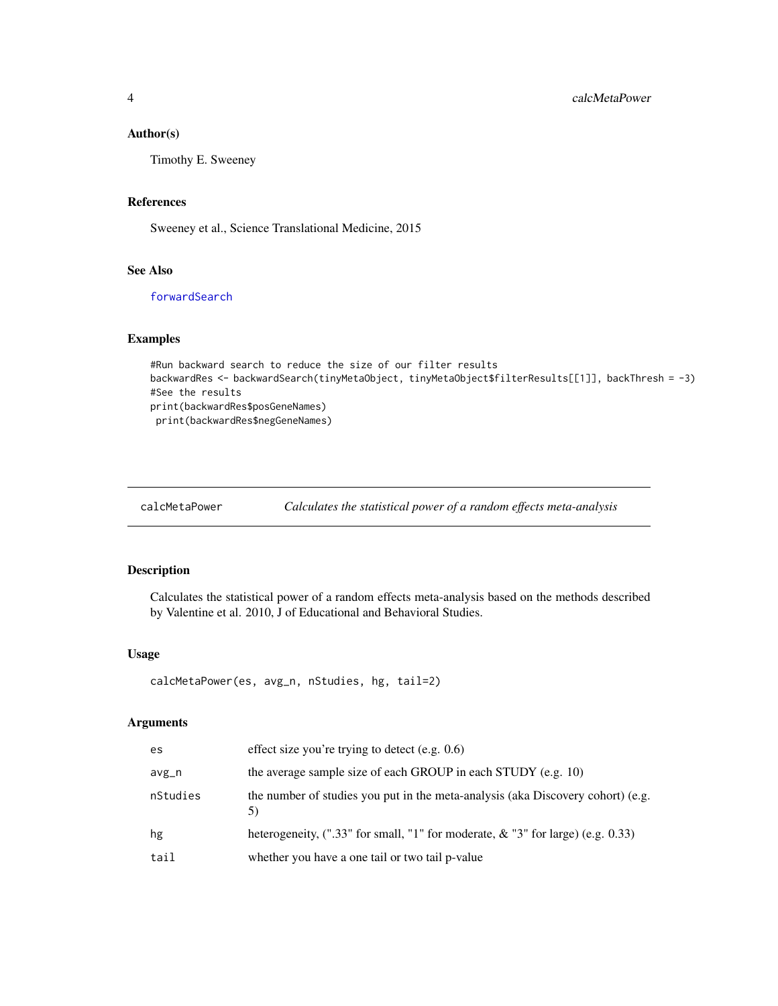## <span id="page-3-0"></span>Author(s)

Timothy E. Sweeney

## References

Sweeney et al., Science Translational Medicine, 2015

## See Also

[forwardSearch](#page-13-1)

## Examples

```
#Run backward search to reduce the size of our filter results
backwardRes <- backwardSearch(tinyMetaObject, tinyMetaObject$filterResults[[1]], backThresh = -3)
#See the results
print(backwardRes$posGeneNames)
 print(backwardRes$negGeneNames)
```
calcMetaPower *Calculates the statistical power of a random effects meta-analysis*

## Description

Calculates the statistical power of a random effects meta-analysis based on the methods described by Valentine et al. 2010, J of Educational and Behavioral Studies.

#### Usage

```
calcMetaPower(es, avg_n, nStudies, hg, tail=2)
```
## Arguments

| es       | effect size you're trying to detect $(e.g. 0.6)$                                      |
|----------|---------------------------------------------------------------------------------------|
| avg_n    | the average sample size of each GROUP in each STUDY (e.g. 10)                         |
| nStudies | the number of studies you put in the meta-analysis (aka Discovery cohort) (e.g.       |
| hg       | heterogeneity, $($ ".33" for small, "1" for moderate, $\&$ "3" for large) (e.g. 0.33) |
| tail     | whether you have a one tail or two tail p-value                                       |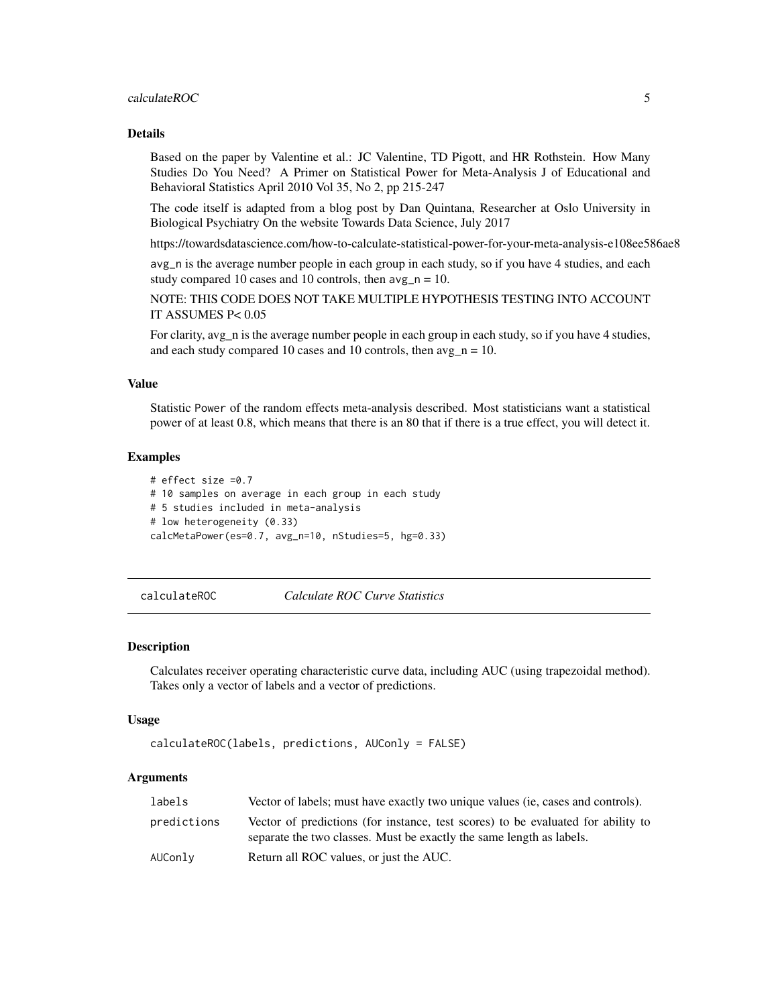## <span id="page-4-0"></span>calculateROC 5

## Details

Based on the paper by Valentine et al.: JC Valentine, TD Pigott, and HR Rothstein. How Many Studies Do You Need? A Primer on Statistical Power for Meta-Analysis J of Educational and Behavioral Statistics April 2010 Vol 35, No 2, pp 215-247

The code itself is adapted from a blog post by Dan Quintana, Researcher at Oslo University in Biological Psychiatry On the website Towards Data Science, July 2017

https://towardsdatascience.com/how-to-calculate-statistical-power-for-your-meta-analysis-e108ee586ae8

avg\_n is the average number people in each group in each study, so if you have 4 studies, and each study compared 10 cases and 10 controls, then  $\arg_{n} n = 10$ .

NOTE: THIS CODE DOES NOT TAKE MULTIPLE HYPOTHESIS TESTING INTO ACCOUNT IT ASSUMES P< 0.05

For clarity, avg\_n is the average number people in each group in each study, so if you have 4 studies, and each study compared 10 cases and 10 controls, then  $avg\_n = 10$ .

## Value

Statistic Power of the random effects meta-analysis described. Most statisticians want a statistical power of at least 0.8, which means that there is an 80 that if there is a true effect, you will detect it.

#### Examples

```
# effect size =0.7
# 10 samples on average in each group in each study
# 5 studies included in meta-analysis
# low heterogeneity (0.33)
calcMetaPower(es=0.7, avg_n=10, nStudies=5, hg=0.33)
```
<span id="page-4-1"></span>calculateROC *Calculate ROC Curve Statistics*

#### Description

Calculates receiver operating characteristic curve data, including AUC (using trapezoidal method). Takes only a vector of labels and a vector of predictions.

#### Usage

```
calculateROC(labels, predictions, AUConly = FALSE)
```
## Arguments

| labels      | Vector of labels; must have exactly two unique values (ie, cases and controls).                                                                          |
|-------------|----------------------------------------------------------------------------------------------------------------------------------------------------------|
| predictions | Vector of predictions (for instance, test scores) to be evaluated for ability to<br>separate the two classes. Must be exactly the same length as labels. |
| AUConly     | Return all ROC values, or just the AUC.                                                                                                                  |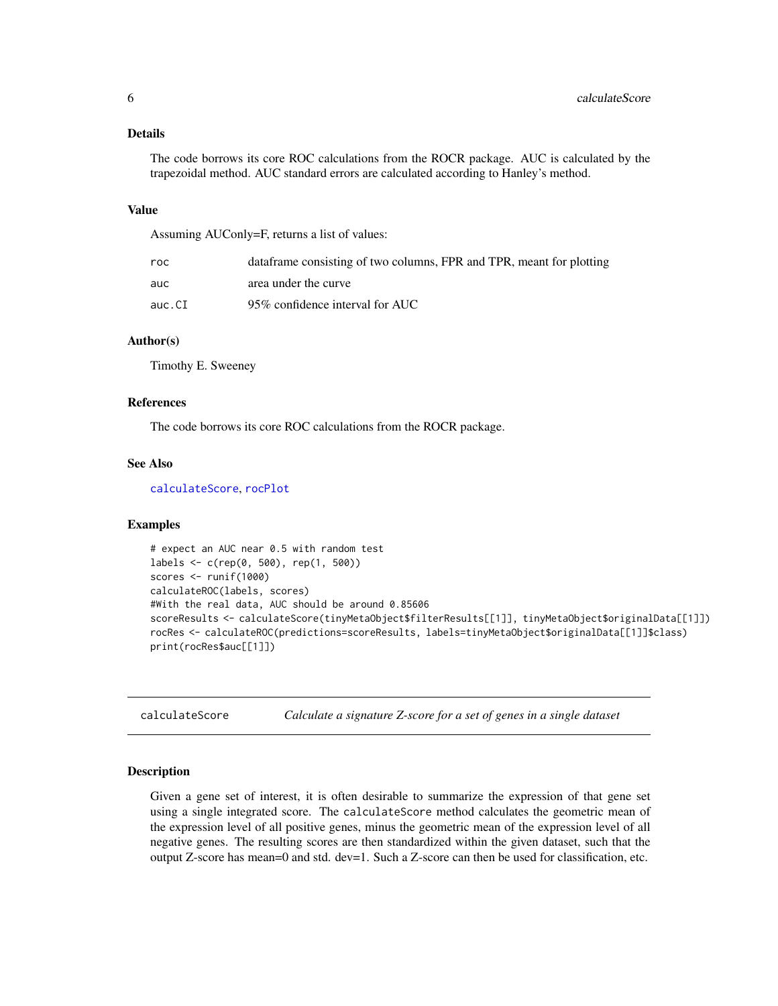## <span id="page-5-0"></span>Details

The code borrows its core ROC calculations from the ROCR package. AUC is calculated by the trapezoidal method. AUC standard errors are calculated according to Hanley's method.

#### Value

Assuming AUConly=F, returns a list of values:

| roc    | dataframe consisting of two columns, FPR and TPR, meant for plotting |
|--------|----------------------------------------------------------------------|
| auc    | area under the curve                                                 |
| auc.CI | 95% confidence interval for AUC                                      |

## Author(s)

Timothy E. Sweeney

#### References

The code borrows its core ROC calculations from the ROCR package.

## See Also

[calculateScore](#page-5-1), [rocPlot](#page-36-1)

## Examples

```
# expect an AUC near 0.5 with random test
labels <- c(rep(0, 500), rep(1, 500))
scores <- runif(1000)
calculateROC(labels, scores)
#With the real data, AUC should be around 0.85606
scoreResults <- calculateScore(tinyMetaObject$filterResults[[1]], tinyMetaObject$originalData[[1]])
rocRes <- calculateROC(predictions=scoreResults, labels=tinyMetaObject$originalData[[1]]$class)
print(rocRes$auc[[1]])
```
<span id="page-5-1"></span>calculateScore *Calculate a signature Z-score for a set of genes in a single dataset*

#### Description

Given a gene set of interest, it is often desirable to summarize the expression of that gene set using a single integrated score. The calculateScore method calculates the geometric mean of the expression level of all positive genes, minus the geometric mean of the expression level of all negative genes. The resulting scores are then standardized within the given dataset, such that the output Z-score has mean=0 and std. dev=1. Such a Z-score can then be used for classification, etc.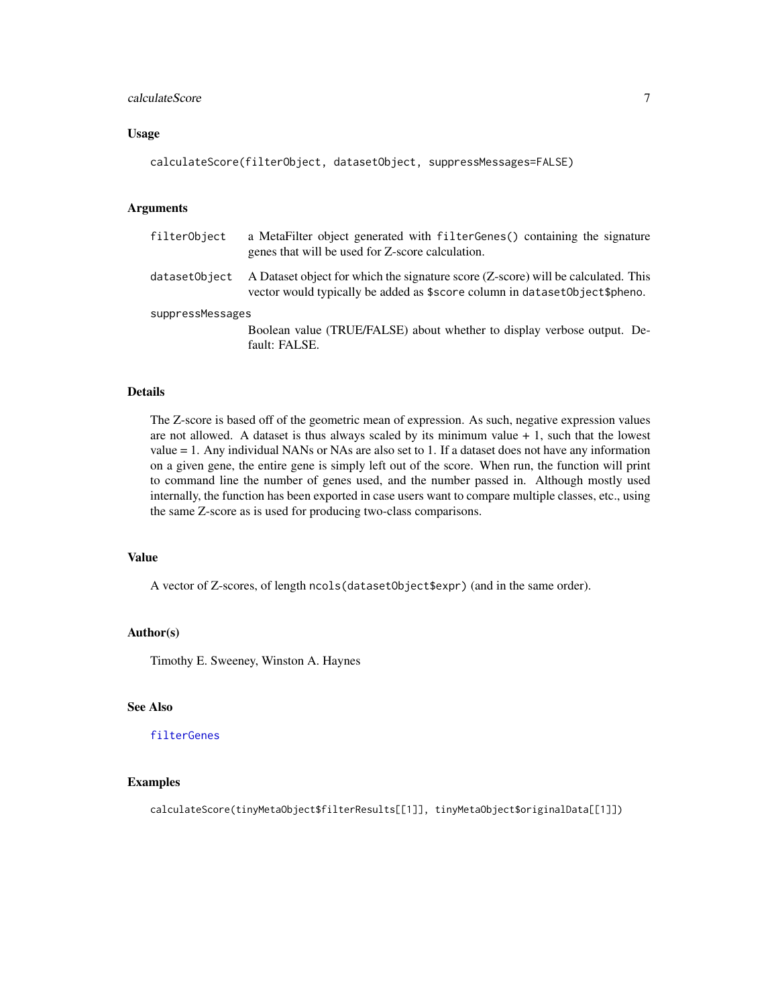## <span id="page-6-0"></span>calculateScore 7

#### Usage

```
calculateScore(filterObject, datasetObject, suppressMessages=FALSE)
```
## Arguments

| filterObject     | a MetaFilter object generated with filter Genes () containing the signature<br>genes that will be used for Z-score calculation.                                 |  |
|------------------|-----------------------------------------------------------------------------------------------------------------------------------------------------------------|--|
| datasetObject    | A Dataset object for which the signature score (Z-score) will be calculated. This<br>vector would typically be added as \$score column in datasetObject\$pheno. |  |
| suppressMessages |                                                                                                                                                                 |  |
|                  | Boolean value (TRUE/FALSE) about whether to display verbose output. De-                                                                                         |  |
|                  | fault: FALSE.                                                                                                                                                   |  |

## Details

The Z-score is based off of the geometric mean of expression. As such, negative expression values are not allowed. A dataset is thus always scaled by its minimum value  $+1$ , such that the lowest value = 1. Any individual NANs or NAs are also set to 1. If a dataset does not have any information on a given gene, the entire gene is simply left out of the score. When run, the function will print to command line the number of genes used, and the number passed in. Although mostly used internally, the function has been exported in case users want to compare multiple classes, etc., using the same Z-score as is used for producing two-class comparisons.

## Value

A vector of Z-scores, of length ncols(datasetObject\$expr) (and in the same order).

#### Author(s)

Timothy E. Sweeney, Winston A. Haynes

## See Also

## [filterGenes](#page-11-1)

## Examples

calculateScore(tinyMetaObject\$filterResults[[1]], tinyMetaObject\$originalData[[1]])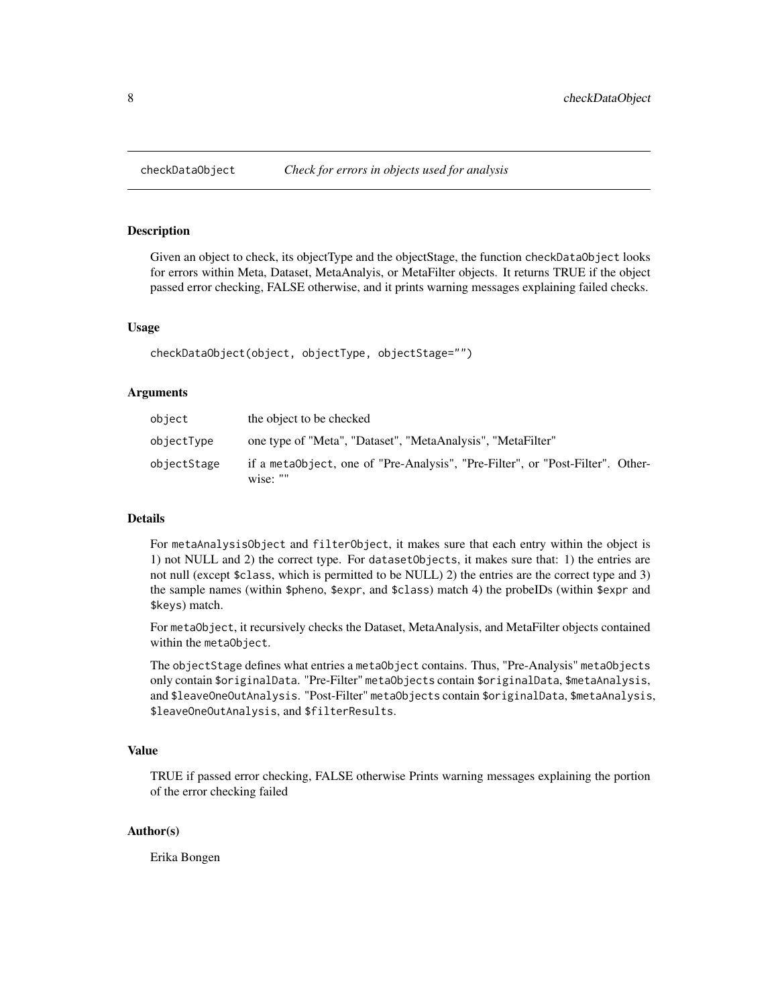<span id="page-7-1"></span><span id="page-7-0"></span>Given an object to check, its objectType and the objectStage, the function checkDataObject looks for errors within Meta, Dataset, MetaAnalyis, or MetaFilter objects. It returns TRUE if the object passed error checking, FALSE otherwise, and it prints warning messages explaining failed checks.

## Usage

checkDataObject(object, objectType, objectStage="")

#### Arguments

| object      | the object to be checked                                                                   |
|-------------|--------------------------------------------------------------------------------------------|
| objectType  | one type of "Meta", "Dataset", "MetaAnalysis", "MetaFilter"                                |
| objectStage | if a metaObject, one of "Pre-Analysis", "Pre-Filter", or "Post-Filter". Other-<br>wise: "" |

## Details

For metaAnalysisObject and filterObject, it makes sure that each entry within the object is 1) not NULL and 2) the correct type. For datasetObjects, it makes sure that: 1) the entries are not null (except \$class, which is permitted to be NULL) 2) the entries are the correct type and 3) the sample names (within \$pheno, \$expr, and \$class) match 4) the probeIDs (within \$expr and \$keys) match.

For metaObject, it recursively checks the Dataset, MetaAnalysis, and MetaFilter objects contained within the metaObject.

The objectStage defines what entries a metaObject contains. Thus, "Pre-Analysis" metaObjects only contain \$originalData. "Pre-Filter" metaObjects contain \$originalData, \$metaAnalysis, and \$leaveOneOutAnalysis. "Post-Filter" metaObjects contain \$originalData, \$metaAnalysis, \$leaveOneOutAnalysis, and \$filterResults.

## Value

TRUE if passed error checking, FALSE otherwise Prints warning messages explaining the portion of the error checking failed

## Author(s)

Erika Bongen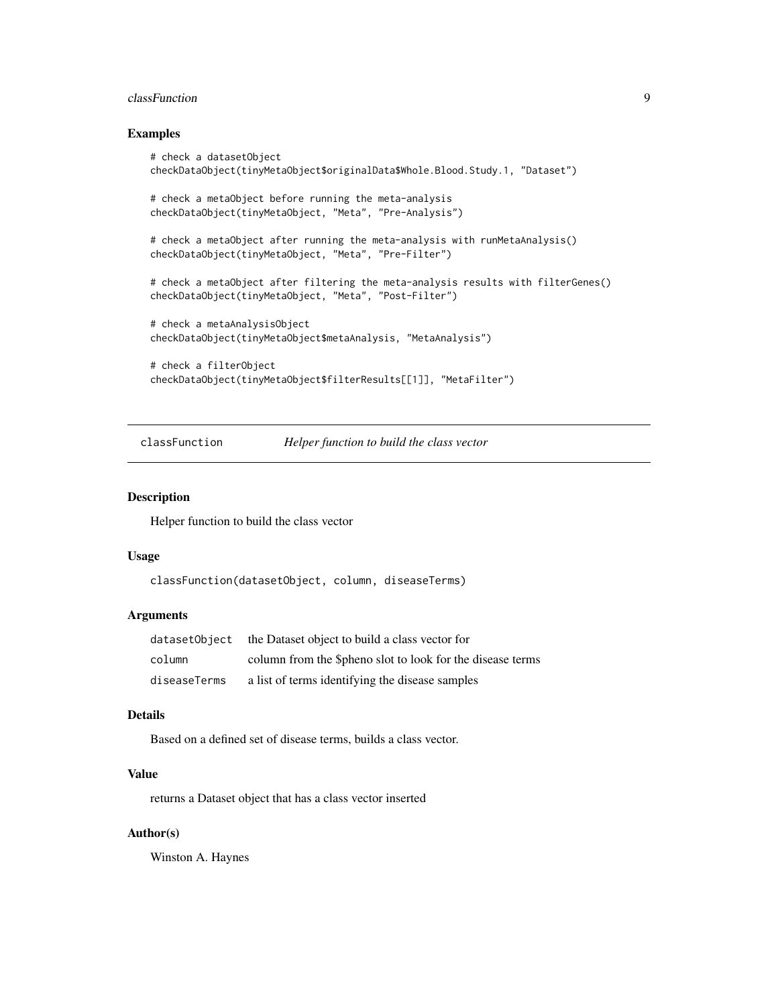## <span id="page-8-0"></span>classFunction 9

#### Examples

```
# check a datasetObject
checkDataObject(tinyMetaObject$originalData$Whole.Blood.Study.1, "Dataset")
# check a metaObject before running the meta-analysis
checkDataObject(tinyMetaObject, "Meta", "Pre-Analysis")
# check a metaObject after running the meta-analysis with runMetaAnalysis()
checkDataObject(tinyMetaObject, "Meta", "Pre-Filter")
# check a metaObject after filtering the meta-analysis results with filterGenes()
checkDataObject(tinyMetaObject, "Meta", "Post-Filter")
# check a metaAnalysisObject
checkDataObject(tinyMetaObject$metaAnalysis, "MetaAnalysis")
# check a filterObject
checkDataObject(tinyMetaObject$filterResults[[1]], "MetaFilter")
```
classFunction *Helper function to build the class vector*

## Description

Helper function to build the class vector

#### Usage

```
classFunction(datasetObject, column, diseaseTerms)
```
## Arguments

| datasetObiect | the Dataset object to build a class vector for            |
|---------------|-----------------------------------------------------------|
| column        | column from the Spheno slot to look for the disease terms |
| diseaseTerms  | a list of terms identifying the disease samples           |

## Details

Based on a defined set of disease terms, builds a class vector.

#### Value

returns a Dataset object that has a class vector inserted

#### Author(s)

Winston A. Haynes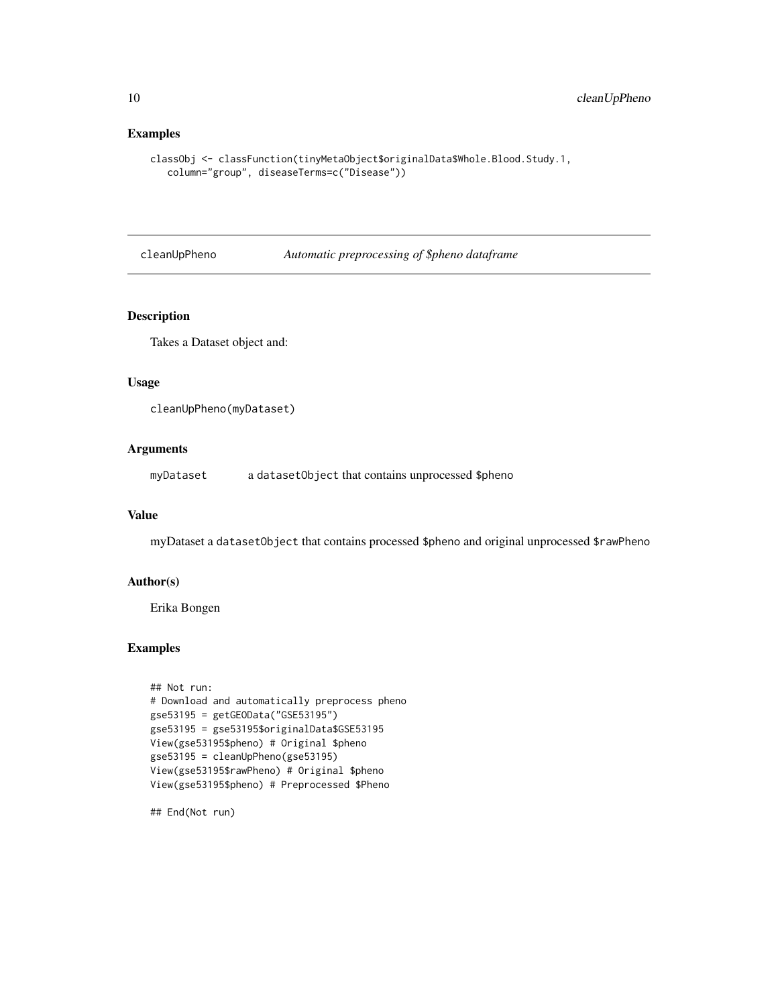## Examples

```
classObj <- classFunction(tinyMetaObject$originalData$Whole.Blood.Study.1,
   column="group", diseaseTerms=c("Disease"))
```
cleanUpPheno *Automatic preprocessing of \$pheno dataframe*

## Description

Takes a Dataset object and:

## Usage

```
cleanUpPheno(myDataset)
```
## Arguments

myDataset a datasetObject that contains unprocessed \$pheno

## Value

myDataset a datasetObject that contains processed \$pheno and original unprocessed \$rawPheno

## Author(s)

Erika Bongen

## Examples

```
## Not run:
# Download and automatically preprocess pheno
gse53195 = getGEOData("GSE53195")
gse53195 = gse53195$originalData$GSE53195
View(gse53195$pheno) # Original $pheno
gse53195 = cleanUpPheno(gse53195)
View(gse53195$rawPheno) # Original $pheno
View(gse53195$pheno) # Preprocessed $Pheno
```
## End(Not run)

<span id="page-9-0"></span>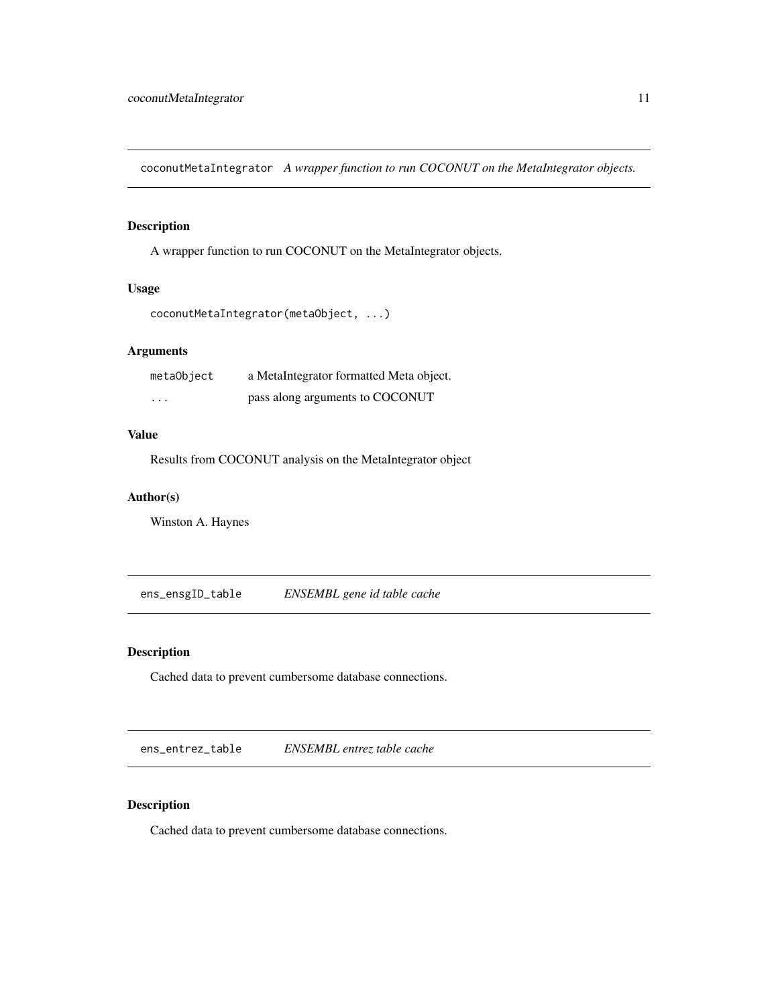<span id="page-10-0"></span>coconutMetaIntegrator *A wrapper function to run COCONUT on the MetaIntegrator objects.*

## Description

A wrapper function to run COCONUT on the MetaIntegrator objects.

#### Usage

```
coconutMetaIntegrator(metaObject, ...)
```
## Arguments

| metaObject | a MetaIntegrator formatted Meta object. |
|------------|-----------------------------------------|
| .          | pass along arguments to COCONUT         |

## Value

Results from COCONUT analysis on the MetaIntegrator object

## Author(s)

Winston A. Haynes

ens\_ensgID\_table *ENSEMBL gene id table cache*

## Description

Cached data to prevent cumbersome database connections.

ens\_entrez\_table *ENSEMBL entrez table cache*

## Description

Cached data to prevent cumbersome database connections.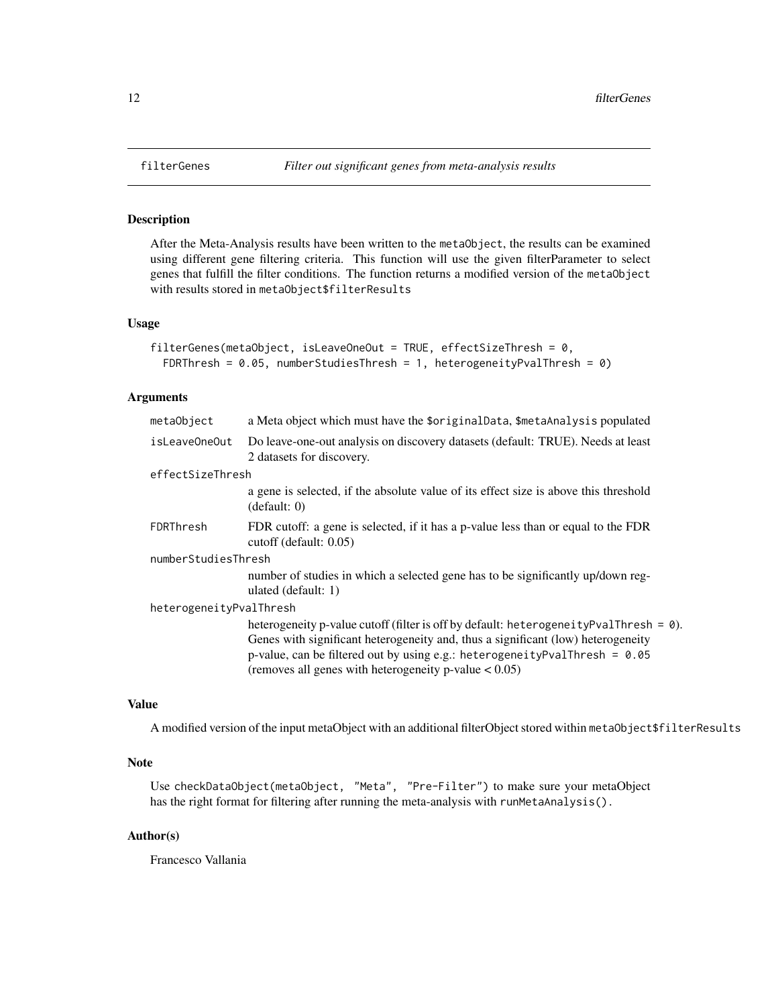After the Meta-Analysis results have been written to the metaObject, the results can be examined using different gene filtering criteria. This function will use the given filterParameter to select genes that fulfill the filter conditions. The function returns a modified version of the metaObject with results stored in metaObject\$filterResults

#### Usage

```
filterGenes(metaObject, isLeaveOneOut = TRUE, effectSizeThresh = 0,
  FDRThresh = 0.05, numberStudiesThresh = 1, heterogeneityPvalThresh = 0)
```
## Arguments

| metaObject              | a Meta object which must have the \$originalData, \$metaAnalysis populated                                                                                                                                                                                                                                                     |  |
|-------------------------|--------------------------------------------------------------------------------------------------------------------------------------------------------------------------------------------------------------------------------------------------------------------------------------------------------------------------------|--|
| isLeaveOneOut           | Do leave-one-out analysis on discovery datasets (default: TRUE). Needs at least<br>2 datasets for discovery.                                                                                                                                                                                                                   |  |
| effectSizeThresh        |                                                                                                                                                                                                                                                                                                                                |  |
|                         | a gene is selected, if the absolute value of its effect size is above this threshold<br>(detault: 0)                                                                                                                                                                                                                           |  |
| FDRThresh               | FDR cutoff: a gene is selected, if it has a p-value less than or equal to the FDR<br>cutoff (default: 0.05)                                                                                                                                                                                                                    |  |
| numberStudiesThresh     |                                                                                                                                                                                                                                                                                                                                |  |
|                         | number of studies in which a selected gene has to be significantly up/down reg-<br>ulated (default: 1)                                                                                                                                                                                                                         |  |
| heterogeneityPvalThresh |                                                                                                                                                                                                                                                                                                                                |  |
|                         | heterogeneity p-value cutoff (filter is off by default: heterogeneity PvalThresh = $\theta$ ).<br>Genes with significant heterogeneity and, thus a significant (low) heterogeneity<br>p-value, can be filtered out by using e.g.: heterogeneityPvalThresh = $0.05$<br>(removes all genes with heterogeneity p-value $< 0.05$ ) |  |

## Value

A modified version of the input metaObject with an additional filterObject stored within metaObject\$filterResults

## Note

Use checkDataObject(metaObject, "Meta", "Pre-Filter") to make sure your metaObject has the right format for filtering after running the meta-analysis with runMetaAnalysis().

#### Author(s)

Francesco Vallania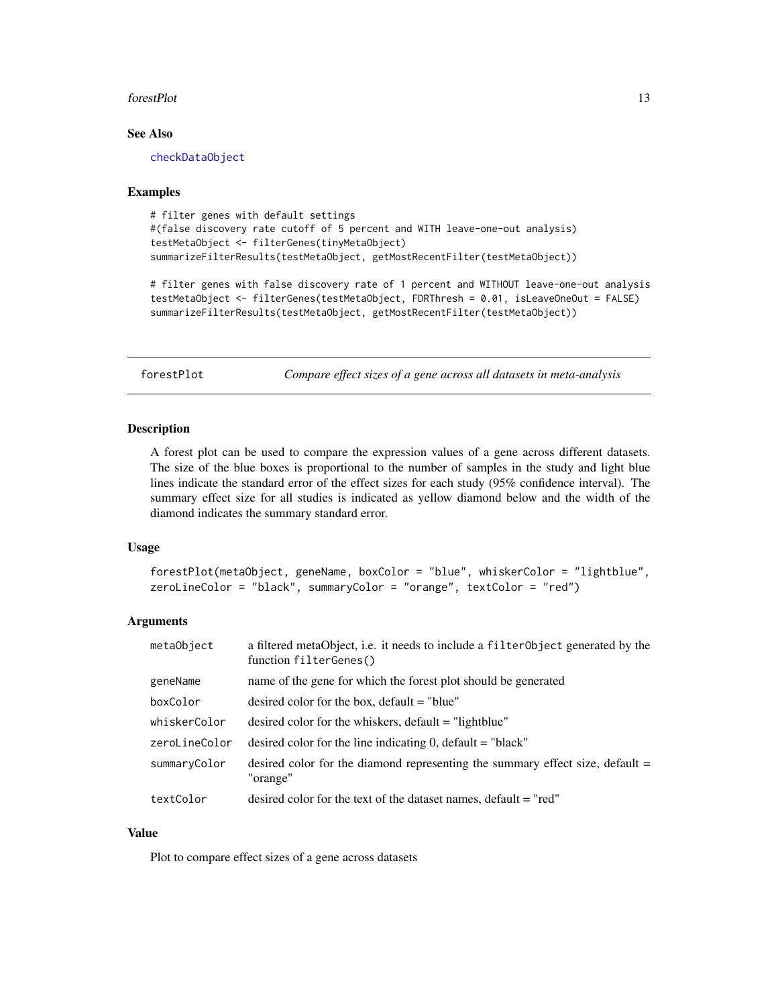#### <span id="page-12-0"></span>forestPlot 13

## See Also

[checkDataObject](#page-7-1)

#### Examples

```
# filter genes with default settings
#(false discovery rate cutoff of 5 percent and WITH leave-one-out analysis)
testMetaObject <- filterGenes(tinyMetaObject)
summarizeFilterResults(testMetaObject, getMostRecentFilter(testMetaObject))
# filter genes with false discovery rate of 1 percent and WITHOUT leave-one-out analysis
testMetaObject <- filterGenes(testMetaObject, FDRThresh = 0.01, isLeaveOneOut = FALSE)
summarizeFilterResults(testMetaObject, getMostRecentFilter(testMetaObject))
```
forestPlot *Compare effect sizes of a gene across all datasets in meta-analysis*

#### **Description**

A forest plot can be used to compare the expression values of a gene across different datasets. The size of the blue boxes is proportional to the number of samples in the study and light blue lines indicate the standard error of the effect sizes for each study (95% confidence interval). The summary effect size for all studies is indicated as yellow diamond below and the width of the diamond indicates the summary standard error.

## Usage

```
forestPlot(metaObject, geneName, boxColor = "blue", whiskerColor = "lightblue",
zeroLineColor = "black", summaryColor = "orange", textColor = "red")
```
## Arguments

| metaObject    | a filtered metaObject, i.e. it needs to include a filterObject generated by the<br>function filterGenes() |
|---------------|-----------------------------------------------------------------------------------------------------------|
| geneName      | name of the gene for which the forest plot should be generated                                            |
| boxColor      | desired color for the box, $default = "blue"$                                                             |
| whiskerColor  | desired color for the whiskers, default $=$ "lightblue"                                                   |
| zeroLineColor | desired color for the line indicating 0, default $=$ "black"                                              |
| summaryColor  | desired color for the diamond representing the summary effect size, default $=$<br>"orange"               |
| textColor     | desired color for the text of the dataset names, default = "red"                                          |

## Value

Plot to compare effect sizes of a gene across datasets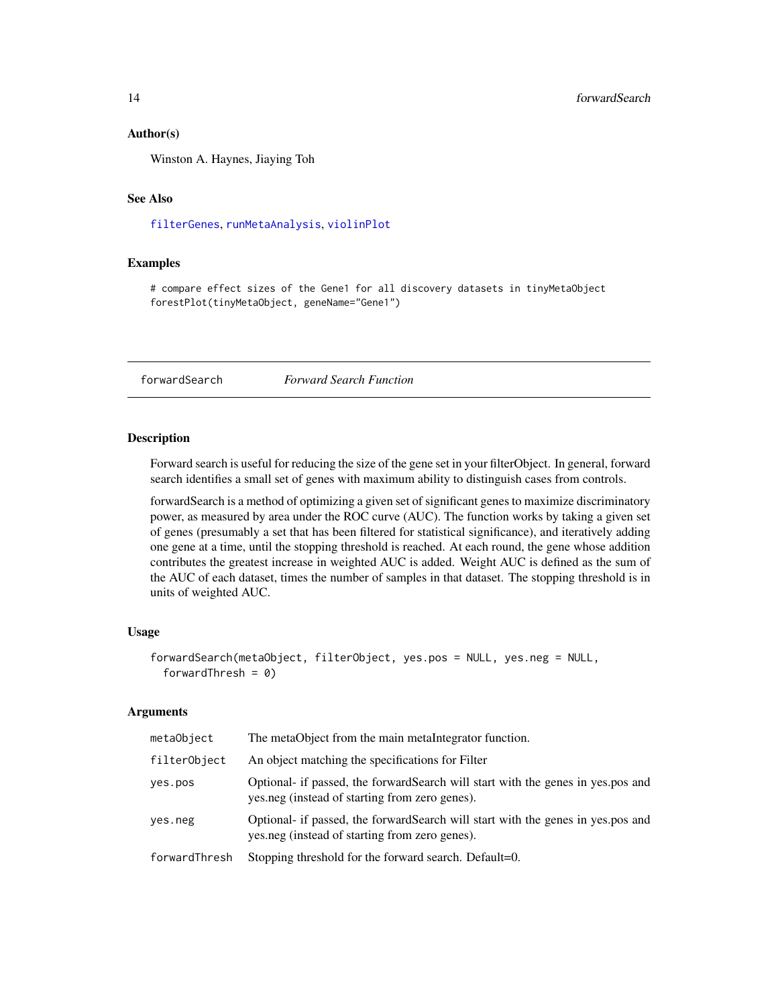#### <span id="page-13-0"></span>Author(s)

Winston A. Haynes, Jiaying Toh

## See Also

[filterGenes](#page-11-1), [runMetaAnalysis](#page-37-1), [violinPlot](#page-41-1)

## Examples

# compare effect sizes of the Gene1 for all discovery datasets in tinyMetaObject forestPlot(tinyMetaObject, geneName="Gene1")

<span id="page-13-1"></span>forwardSearch *Forward Search Function*

## Description

Forward search is useful for reducing the size of the gene set in your filterObject. In general, forward search identifies a small set of genes with maximum ability to distinguish cases from controls.

forwardSearch is a method of optimizing a given set of significant genes to maximize discriminatory power, as measured by area under the ROC curve (AUC). The function works by taking a given set of genes (presumably a set that has been filtered for statistical significance), and iteratively adding one gene at a time, until the stopping threshold is reached. At each round, the gene whose addition contributes the greatest increase in weighted AUC is added. Weight AUC is defined as the sum of the AUC of each dataset, times the number of samples in that dataset. The stopping threshold is in units of weighted AUC.

#### Usage

```
forwardSearch(metaObject, filterObject, yes.pos = NULL, yes.neg = NULL,
 forwardThresh = 0)
```
## Arguments

| metaObject    | The metaObject from the main metaIntegrator function.                                                                              |
|---------------|------------------------------------------------------------------------------------------------------------------------------------|
| filterObject  | An object matching the specifications for Filter                                                                                   |
| yes.pos       | Optional- if passed, the forward Search will start with the genes in yes.pos and<br>yes.neg (instead of starting from zero genes). |
| yes.neg       | Optional- if passed, the forward Search will start with the genes in yes.pos and<br>yes.neg (instead of starting from zero genes). |
| forwardThresh | Stopping threshold for the forward search. Default=0.                                                                              |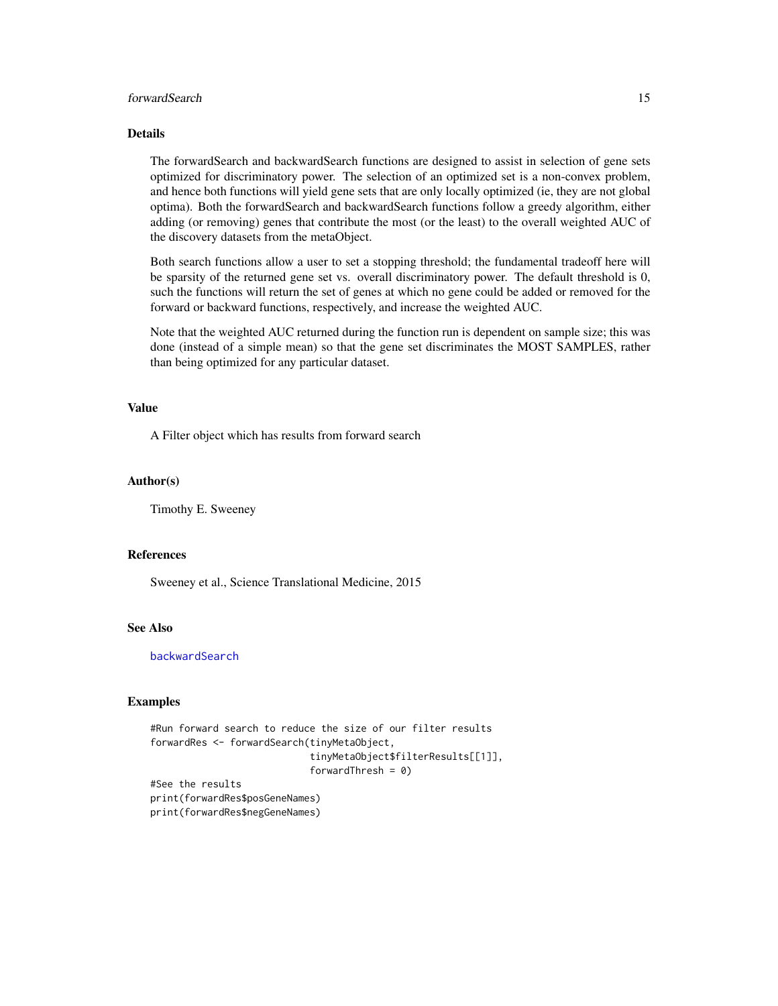## <span id="page-14-0"></span>forwardSearch 15

## Details

The forwardSearch and backwardSearch functions are designed to assist in selection of gene sets optimized for discriminatory power. The selection of an optimized set is a non-convex problem, and hence both functions will yield gene sets that are only locally optimized (ie, they are not global optima). Both the forwardSearch and backwardSearch functions follow a greedy algorithm, either adding (or removing) genes that contribute the most (or the least) to the overall weighted AUC of the discovery datasets from the metaObject.

Both search functions allow a user to set a stopping threshold; the fundamental tradeoff here will be sparsity of the returned gene set vs. overall discriminatory power. The default threshold is 0, such the functions will return the set of genes at which no gene could be added or removed for the forward or backward functions, respectively, and increase the weighted AUC.

Note that the weighted AUC returned during the function run is dependent on sample size; this was done (instead of a simple mean) so that the gene set discriminates the MOST SAMPLES, rather than being optimized for any particular dataset.

## Value

A Filter object which has results from forward search

#### Author(s)

Timothy E. Sweeney

#### References

Sweeney et al., Science Translational Medicine, 2015

## See Also

[backwardSearch](#page-2-1)

#### Examples

```
#Run forward search to reduce the size of our filter results
forwardRes <- forwardSearch(tinyMetaObject,
                            tinyMetaObject$filterResults[[1]],
                            forwardThresh = 0)
#See the results
```
print(forwardRes\$posGeneNames) print(forwardRes\$negGeneNames)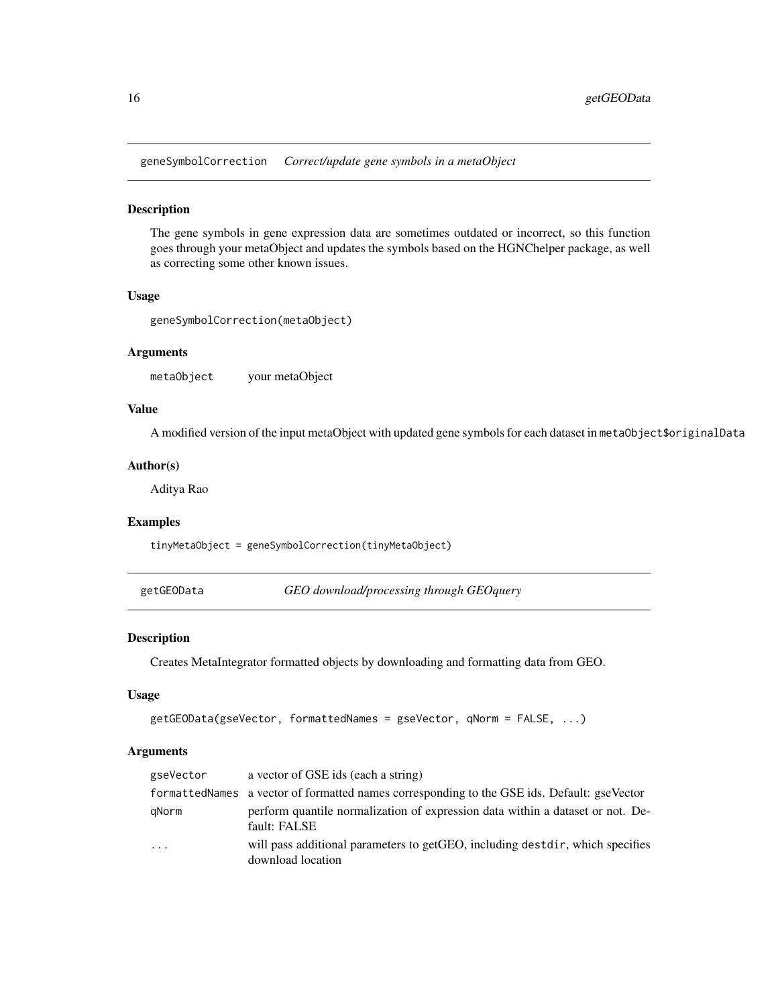<span id="page-15-0"></span>geneSymbolCorrection *Correct/update gene symbols in a metaObject*

## Description

The gene symbols in gene expression data are sometimes outdated or incorrect, so this function goes through your metaObject and updates the symbols based on the HGNChelper package, as well as correcting some other known issues.

## Usage

```
geneSymbolCorrection(metaObject)
```
#### Arguments

metaObject your metaObject

## Value

A modified version of the input metaObject with updated gene symbols for each dataset in metaObject\$originalData

#### Author(s)

Aditya Rao

## Examples

tinyMetaObject = geneSymbolCorrection(tinyMetaObject)

getGEOData *GEO download/processing through GEOquery*

## Description

Creates MetaIntegrator formatted objects by downloading and formatting data from GEO.

#### Usage

```
getGEOData(gseVector, formattedNames = gseVector, qNorm = FALSE, ...)
```
#### Arguments

| gseVector | a vector of GSE ids (each a string)                                                                |
|-----------|----------------------------------------------------------------------------------------------------|
|           | formatted Names a vector of formatted names corresponding to the GSE ids. Default: gse Vector      |
| gNorm     | perform quantile normalization of expression data within a dataset or not. De-<br>fault: FALSE     |
| $\ddots$  | will pass additional parameters to getGEO, including destdir, which specifies<br>download location |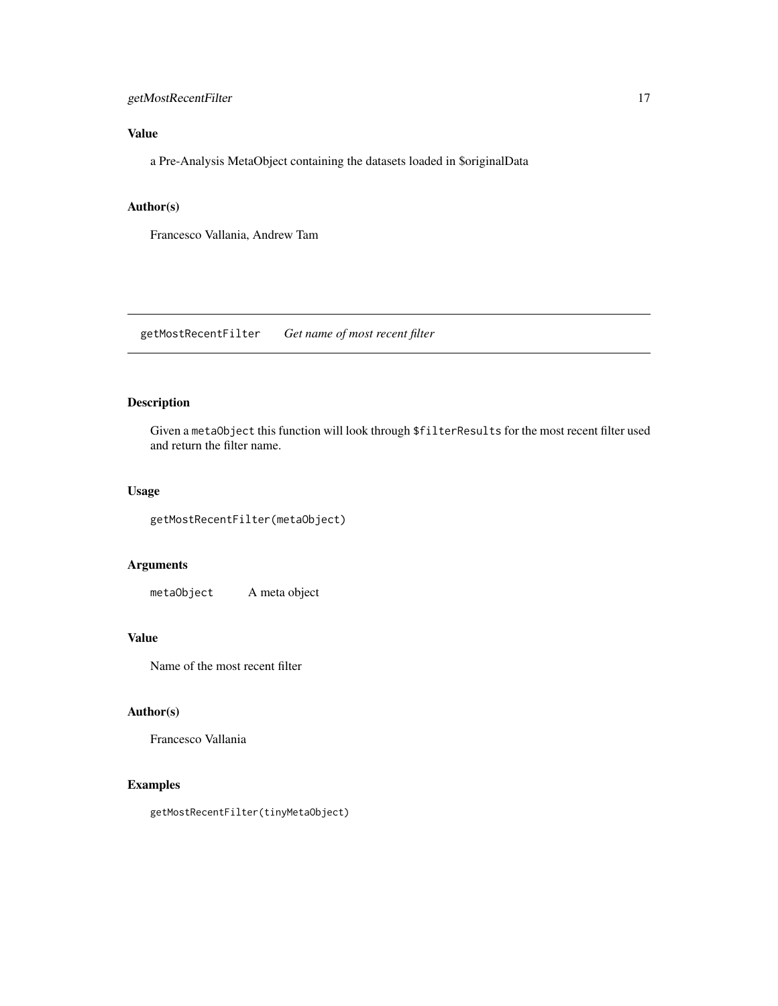## <span id="page-16-0"></span>getMostRecentFilter 17

## Value

a Pre-Analysis MetaObject containing the datasets loaded in \$originalData

#### Author(s)

Francesco Vallania, Andrew Tam

getMostRecentFilter *Get name of most recent filter*

## Description

Given a metaObject this function will look through \$filterResults for the most recent filter used and return the filter name.

## Usage

```
getMostRecentFilter(metaObject)
```
## Arguments

metaObject A meta object

## Value

Name of the most recent filter

## Author(s)

Francesco Vallania

## Examples

getMostRecentFilter(tinyMetaObject)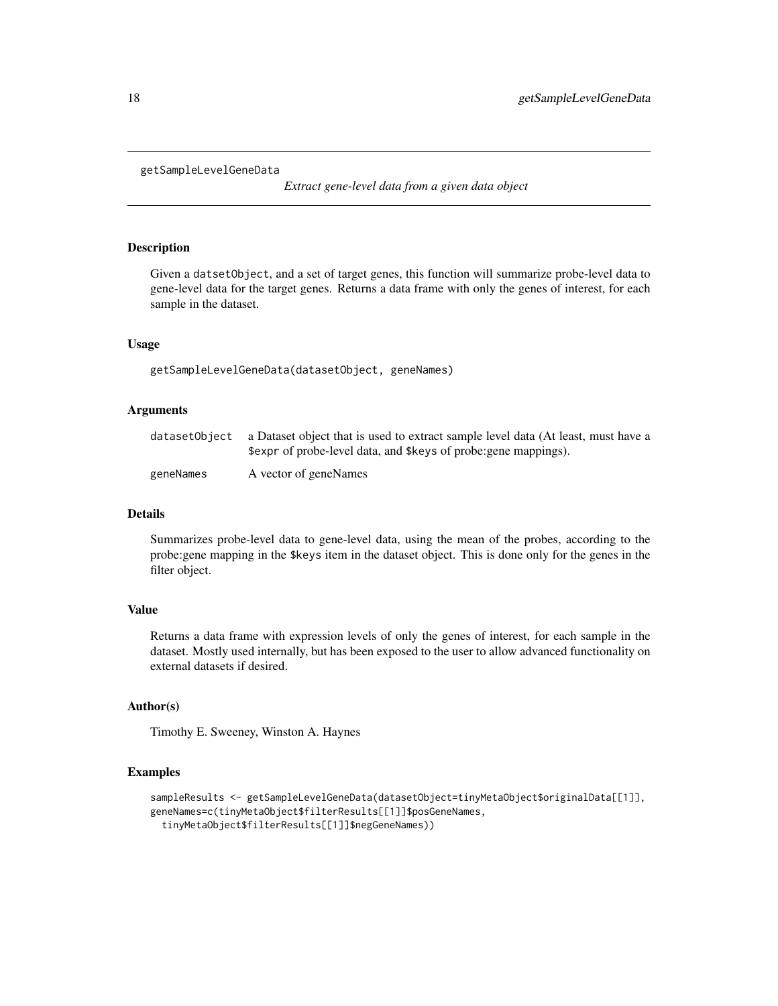```
getSampleLevelGeneData
```
*Extract gene-level data from a given data object*

#### Description

Given a datsetObject, and a set of target genes, this function will summarize probe-level data to gene-level data for the target genes. Returns a data frame with only the genes of interest, for each sample in the dataset.

#### Usage

getSampleLevelGeneData(datasetObject, geneNames)

## Arguments

|           | dataset0bject a Dataset object that is used to extract sample level data (At least, must have a |
|-----------|-------------------------------------------------------------------------------------------------|
|           | \$expr of probe-level data, and \$keys of probe: gene mappings).                                |
| geneNames | A vector of geneNames                                                                           |

## Details

Summarizes probe-level data to gene-level data, using the mean of the probes, according to the probe:gene mapping in the \$keys item in the dataset object. This is done only for the genes in the filter object.

#### Value

Returns a data frame with expression levels of only the genes of interest, for each sample in the dataset. Mostly used internally, but has been exposed to the user to allow advanced functionality on external datasets if desired.

## Author(s)

Timothy E. Sweeney, Winston A. Haynes

#### Examples

```
sampleResults <- getSampleLevelGeneData(datasetObject=tinyMetaObject$originalData[[1]],
geneNames=c(tinyMetaObject$filterResults[[1]]$posGeneNames,
 tinyMetaObject$filterResults[[1]]$negGeneNames))
```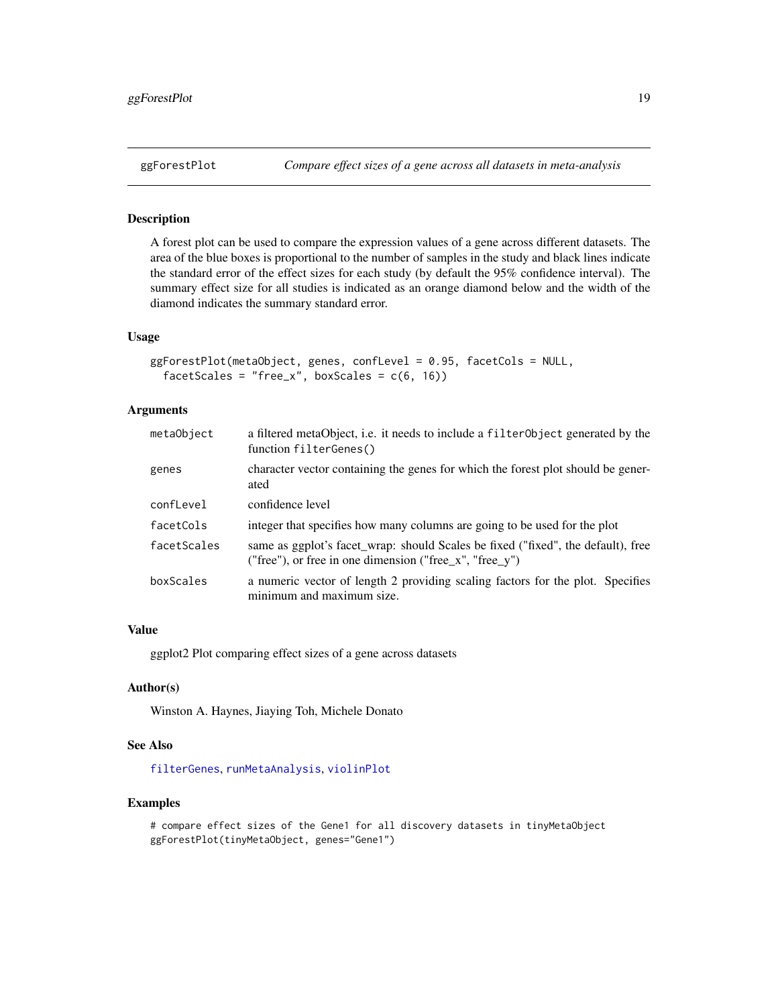A forest plot can be used to compare the expression values of a gene across different datasets. The area of the blue boxes is proportional to the number of samples in the study and black lines indicate the standard error of the effect sizes for each study (by default the 95% confidence interval). The summary effect size for all studies is indicated as an orange diamond below and the width of the diamond indicates the summary standard error.

## Usage

```
ggForestPlot(metaObject, genes, confLevel = 0.95, facetCols = NULL,
  facetScales = "free_x", boxScales = c(6, 16))
```
## Arguments

| metaObject  | a filtered metaObject, i.e. it needs to include a filterObject generated by the<br>function filterGenes()                                   |
|-------------|---------------------------------------------------------------------------------------------------------------------------------------------|
| genes       | character vector containing the genes for which the forest plot should be gener-<br>ated                                                    |
| confLevel   | confidence level                                                                                                                            |
| facetCols   | integer that specifies how many columns are going to be used for the plot                                                                   |
| facetScales | same as ggplot's facet_wrap: should Scales be fixed ("fixed", the default), free<br>("free"), or free in one dimension ("free_x", "free_y") |
| boxScales   | a numeric vector of length 2 providing scaling factors for the plot. Specifies<br>minimum and maximum size.                                 |

#### Value

ggplot2 Plot comparing effect sizes of a gene across datasets

## Author(s)

Winston A. Haynes, Jiaying Toh, Michele Donato

## See Also

[filterGenes](#page-11-1), [runMetaAnalysis](#page-37-1), [violinPlot](#page-41-1)

## Examples

# compare effect sizes of the Gene1 for all discovery datasets in tinyMetaObject ggForestPlot(tinyMetaObject, genes="Gene1")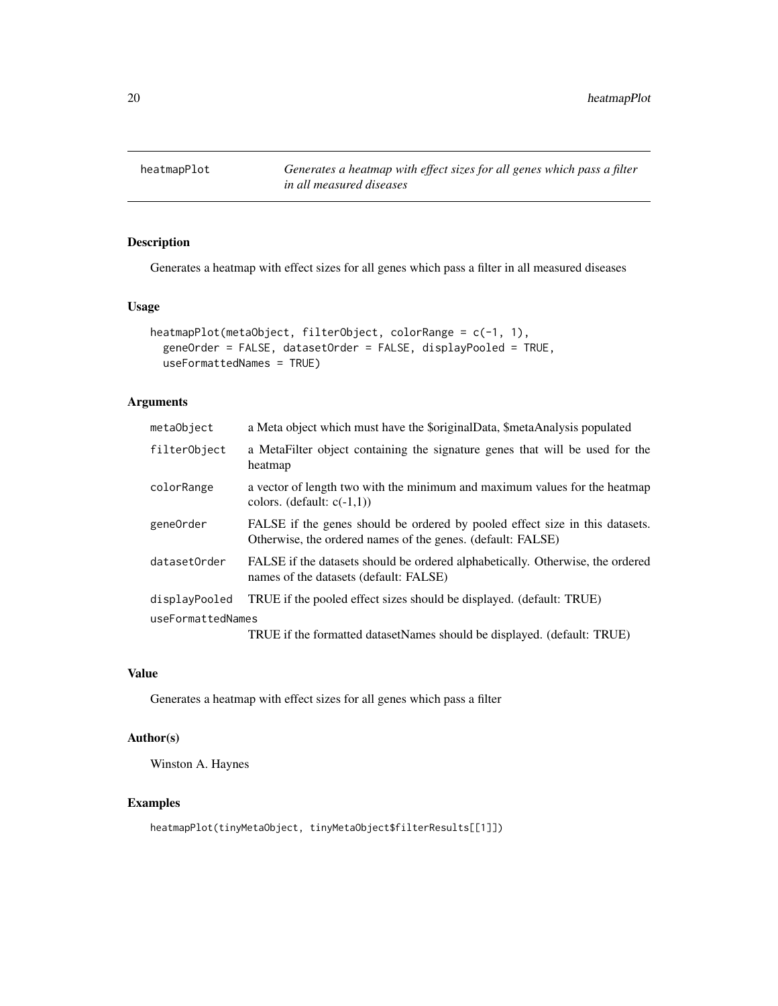<span id="page-19-0"></span>

Generates a heatmap with effect sizes for all genes which pass a filter in all measured diseases

## Usage

```
heatmapPlot(metaObject, filterObject, colorRange = c(-1, 1),
  geneOrder = FALSE, datasetOrder = FALSE, displayPooled = TRUE,
  useFormattedNames = TRUE)
```
## Arguments

| metaObject        | a Meta object which must have the \$originalData, \$metaAnalysis populated                                                                  |
|-------------------|---------------------------------------------------------------------------------------------------------------------------------------------|
| filterObject      | a MetaFilter object containing the signature genes that will be used for the<br>heatmap                                                     |
| colorRange        | a vector of length two with the minimum and maximum values for the heatmap<br>colors. (default: $c(-1,1)$ )                                 |
| gene0rder         | FALSE if the genes should be ordered by pooled effect size in this datasets.<br>Otherwise, the ordered names of the genes. (default: FALSE) |
| datasetOrder      | FALSE if the datasets should be ordered alphabetically. Otherwise, the ordered<br>names of the datasets (default: FALSE)                    |
| displayPooled     | TRUE if the pooled effect sizes should be displayed. (default: TRUE)                                                                        |
| useFormattedNames |                                                                                                                                             |
|                   | TRUE if the formatted datasetNames should be displayed. (default: TRUE)                                                                     |

## Value

Generates a heatmap with effect sizes for all genes which pass a filter

#### Author(s)

Winston A. Haynes

## Examples

heatmapPlot(tinyMetaObject, tinyMetaObject\$filterResults[[1]])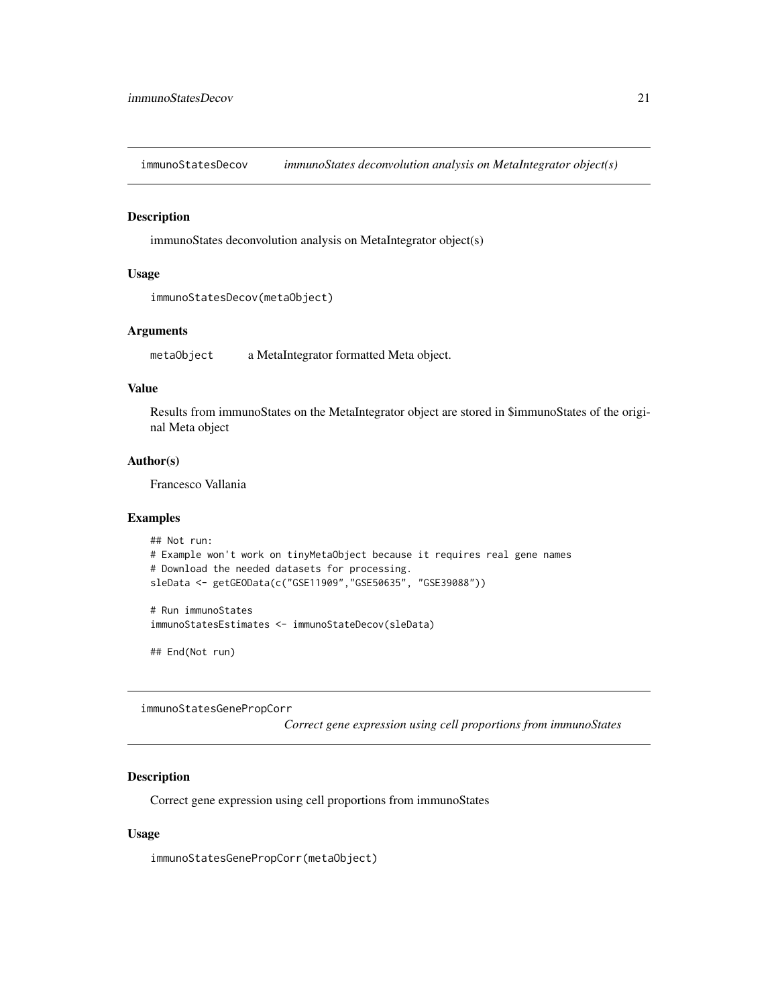<span id="page-20-0"></span>immunoStatesDecov *immunoStates deconvolution analysis on MetaIntegrator object(s)*

#### Description

immunoStates deconvolution analysis on MetaIntegrator object(s)

## Usage

```
immunoStatesDecov(metaObject)
```
## Arguments

metaObject a MetaIntegrator formatted Meta object.

#### Value

Results from immunoStates on the MetaIntegrator object are stored in \$immunoStates of the original Meta object

## Author(s)

Francesco Vallania

## Examples

```
## Not run:
# Example won't work on tinyMetaObject because it requires real gene names
# Download the needed datasets for processing.
sleData <- getGEOData(c("GSE11909","GSE50635", "GSE39088"))
# Run immunoStates
```

```
immunoStatesEstimates <- immunoStateDecov(sleData)
```
## End(Not run)

immunoStatesGenePropCorr

*Correct gene expression using cell proportions from immunoStates*

## Description

Correct gene expression using cell proportions from immunoStates

#### Usage

immunoStatesGenePropCorr(metaObject)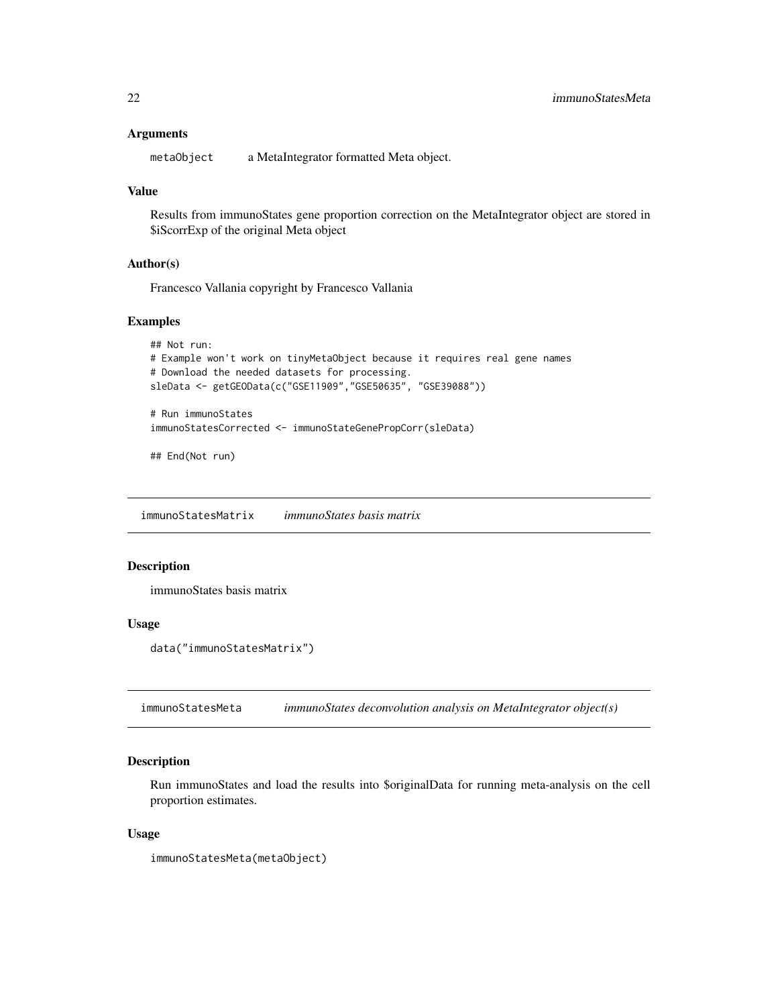#### <span id="page-21-0"></span>Arguments

metaObject a MetaIntegrator formatted Meta object.

#### Value

Results from immunoStates gene proportion correction on the MetaIntegrator object are stored in \$iScorrExp of the original Meta object

## Author(s)

Francesco Vallania copyright by Francesco Vallania

## Examples

```
## Not run:
# Example won't work on tinyMetaObject because it requires real gene names
# Download the needed datasets for processing.
sleData <- getGEOData(c("GSE11909","GSE50635", "GSE39088"))
# Run immunoStates
```

```
immunoStatesCorrected <- immunoStateGenePropCorr(sleData)
```
## End(Not run)

immunoStatesMatrix *immunoStates basis matrix*

## Description

immunoStates basis matrix

## Usage

```
data("immunoStatesMatrix")
```
immunoStatesMeta *immunoStates deconvolution analysis on MetaIntegrator object(s)*

## Description

Run immunoStates and load the results into \$originalData for running meta-analysis on the cell proportion estimates.

#### Usage

```
immunoStatesMeta(metaObject)
```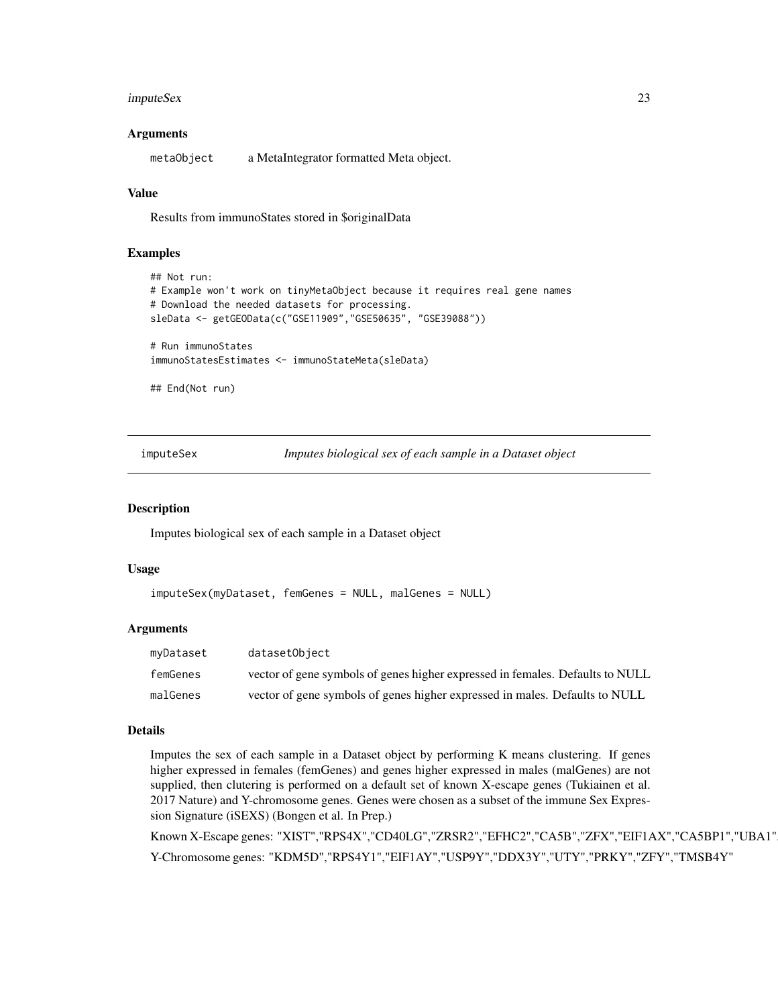## <span id="page-22-0"></span>imputeSex 23

#### Arguments

metaObject a MetaIntegrator formatted Meta object.

#### Value

Results from immunoStates stored in \$originalData

## Examples

```
## Not run:
# Example won't work on tinyMetaObject because it requires real gene names
# Download the needed datasets for processing.
sleData <- getGEOData(c("GSE11909","GSE50635", "GSE39088"))
# Run immunoStates
immunoStatesEstimates <- immunoStateMeta(sleData)
```
## End(Not run)

imputeSex *Imputes biological sex of each sample in a Dataset object*

#### Description

Imputes biological sex of each sample in a Dataset object

#### Usage

```
imputeSex(myDataset, femGenes = NULL, malGenes = NULL)
```
## Arguments

| myDataset | datasetObiect                                                                 |
|-----------|-------------------------------------------------------------------------------|
| femGenes  | vector of gene symbols of genes higher expressed in females. Defaults to NULL |
| malGenes  | vector of gene symbols of genes higher expressed in males. Defaults to NULL   |

#### Details

Imputes the sex of each sample in a Dataset object by performing K means clustering. If genes higher expressed in females (femGenes) and genes higher expressed in males (malGenes) are not supplied, then clutering is performed on a default set of known X-escape genes (Tukiainen et al. 2017 Nature) and Y-chromosome genes. Genes were chosen as a subset of the immune Sex Expression Signature (iSEXS) (Bongen et al. In Prep.)

Known X-Escape genes: "XIST","RPS4X","CD40LG","ZRSR2","EFHC2","CA5B","ZFX","EIF1AX","CA5BP1","UBA1" Y-Chromosome genes: "KDM5D","RPS4Y1","EIF1AY","USP9Y","DDX3Y","UTY","PRKY","ZFY","TMSB4Y"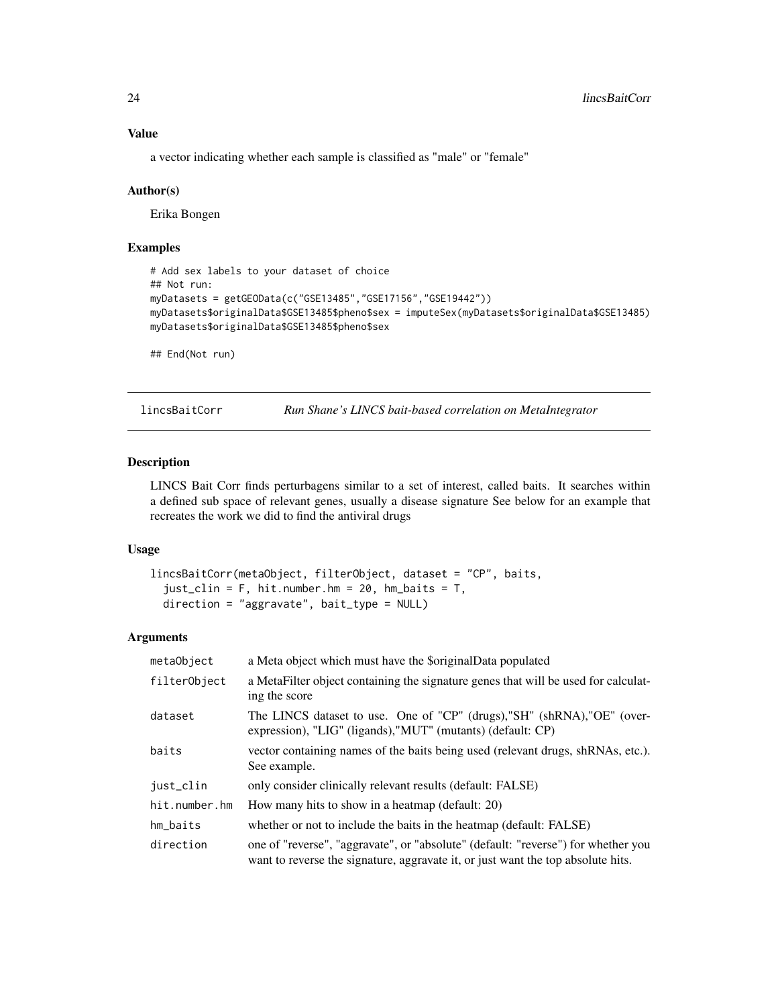a vector indicating whether each sample is classified as "male" or "female"

#### Author(s)

Erika Bongen

## Examples

```
# Add sex labels to your dataset of choice
## Not run:
myDatasets = getGEOData(c("GSE13485","GSE17156","GSE19442"))
myDatasets$originalData$GSE13485$pheno$sex = imputeSex(myDatasets$originalData$GSE13485)
myDatasets$originalData$GSE13485$pheno$sex
```
## End(Not run)

lincsBaitCorr *Run Shane's LINCS bait-based correlation on MetaIntegrator*

## Description

LINCS Bait Corr finds perturbagens similar to a set of interest, called baits. It searches within a defined sub space of relevant genes, usually a disease signature See below for an example that recreates the work we did to find the antiviral drugs

## Usage

```
lincsBaitCorr(metaObject, filterObject, dataset = "CP", baits,
  just\_clip = F, hit.number.hm = 20, hm_baits = T,
  direction = "aggravate", bait_type = NULL)
```
#### Arguments

| metaObject    | a Meta object which must have the \$originalData populated                                                                                                            |
|---------------|-----------------------------------------------------------------------------------------------------------------------------------------------------------------------|
| filterObject  | a MetaFilter object containing the signature genes that will be used for calculat-<br>ing the score                                                                   |
| dataset       | The LINCS dataset to use. One of "CP" (drugs), "SH" (shRNA), "OE" (over-<br>expression), "LIG" (ligands), "MUT" (mutants) (default: CP)                               |
| baits         | vector containing names of the baits being used (relevant drugs, shRNAs, etc.).<br>See example.                                                                       |
| just_clin     | only consider clinically relevant results (default: FALSE)                                                                                                            |
| hit.number.hm | How many hits to show in a heatmap (default: 20)                                                                                                                      |
| hm_baits      | whether or not to include the baits in the heatmap (default: FALSE)                                                                                                   |
| direction     | one of "reverse", "aggravate", or "absolute" (default: "reverse") for whether you<br>want to reverse the signature, aggravate it, or just want the top absolute hits. |

<span id="page-23-0"></span>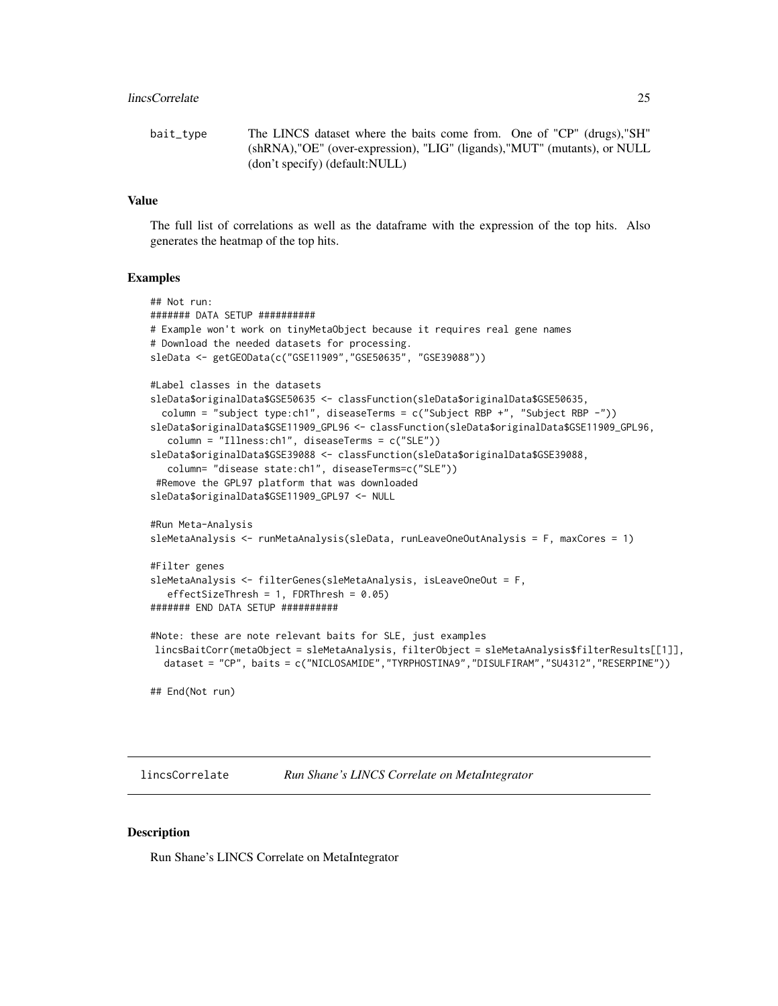```
bait_type The LINCS dataset where the baits come from. One of "CP" (drugs),"SH"
                (shRNA),"OE" (over-expression), "LIG" (ligands),"MUT" (mutants), or NULL
                (don't specify) (default:NULL)
```
## Value

The full list of correlations as well as the dataframe with the expression of the top hits. Also generates the heatmap of the top hits.

#### Examples

```
## Not run:
####### DATA SETUP ##########
# Example won't work on tinyMetaObject because it requires real gene names
# Download the needed datasets for processing.
sleData <- getGEOData(c("GSE11909","GSE50635", "GSE39088"))
#Label classes in the datasets
sleData$originalData$GSE50635 <- classFunction(sleData$originalData$GSE50635,
 column = "subject type:ch1", diseaseTerms = c("Subject RBP +", "Subject RBP -"))
sleData$originalData$GSE11909_GPL96 <- classFunction(sleData$originalData$GSE11909_GPL96,
   column = "Illness:ch1", diseaseTerms = c("SLE"))
sleData$originalData$GSE39088 <- classFunction(sleData$originalData$GSE39088,
  column= "disease state:ch1", diseaseTerms=c("SLE"))
 #Remove the GPL97 platform that was downloaded
sleData$originalData$GSE11909_GPL97 <- NULL
#Run Meta-Analysis
sleMetaAnalysis <- runMetaAnalysis(sleData, runLeaveOneOutAnalysis = F, maxCores = 1)
#Filter genes
sleMetaAnalysis <- filterGenes(sleMetaAnalysis, isLeaveOneOut = F,
   effectSizeThresh = 1, FDRThresh = 0.05)
####### END DATA SETUP ##########
#Note: these are note relevant baits for SLE, just examples
lincsBaitCorr(metaObject = sleMetaAnalysis, filterObject = sleMetaAnalysis$filterResults[[1]],
  dataset = "CP", baits = c("NICLOSAMIDE","TYRPHOSTINA9","DISULFIRAM","SU4312","RESERPINE"))
## End(Not run)
```
lincsCorrelate *Run Shane's LINCS Correlate on MetaIntegrator*

## Description

Run Shane's LINCS Correlate on MetaIntegrator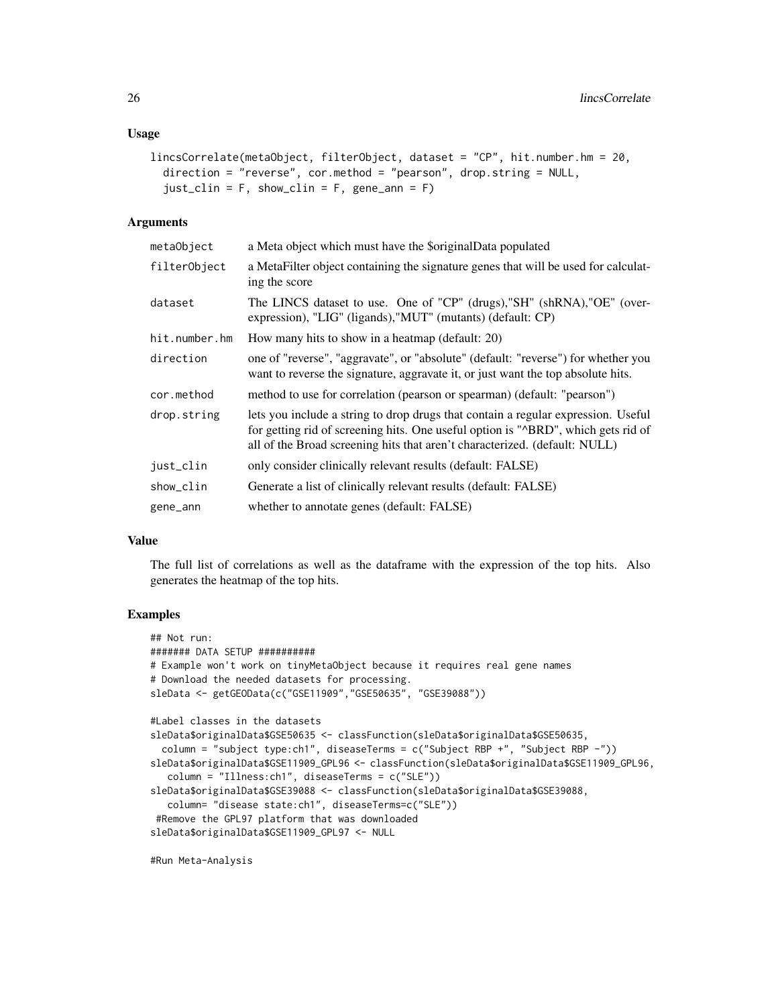#### Usage

```
lincsCorrelate(metaObject, filterObject, dataset = "CP", hit.number.hm = 20,
  direction = "reverse", cor.method = "pearson", drop.string = NULL,
  just\_clip = F, show_clin = F, gene_ann = F)
```
## Arguments

| metaObject    | a Meta object which must have the \$originalData populated                                                                                                                                                                                           |
|---------------|------------------------------------------------------------------------------------------------------------------------------------------------------------------------------------------------------------------------------------------------------|
| filterObject  | a MetaFilter object containing the signature genes that will be used for calculat-<br>ing the score                                                                                                                                                  |
| dataset       | The LINCS dataset to use. One of "CP" (drugs), "SH" (shRNA), "OE" (over-<br>expression), "LIG" (ligands), "MUT" (mutants) (default: CP)                                                                                                              |
| hit.number.hm | How many hits to show in a heatmap (default: 20)                                                                                                                                                                                                     |
| direction     | one of "reverse", "aggravate", or "absolute" (default: "reverse") for whether you<br>want to reverse the signature, aggravate it, or just want the top absolute hits.                                                                                |
| cor.method    | method to use for correlation (pearson or spearman) (default: "pearson")                                                                                                                                                                             |
| drop.string   | lets you include a string to drop drugs that contain a regular expression. Useful<br>for getting rid of screening hits. One useful option is "^BRD", which gets rid of<br>all of the Broad screening hits that aren't characterized. (default: NULL) |
| just_clin     | only consider clinically relevant results (default: FALSE)                                                                                                                                                                                           |
| show_clin     | Generate a list of clinically relevant results (default: FALSE)                                                                                                                                                                                      |
| gene_ann      | whether to annotate genes (default: FALSE)                                                                                                                                                                                                           |

## Value

The full list of correlations as well as the dataframe with the expression of the top hits. Also generates the heatmap of the top hits.

## Examples

```
## Not run:
####### DATA SETUP ##########
# Example won't work on tinyMetaObject because it requires real gene names
# Download the needed datasets for processing.
sleData <- getGEOData(c("GSE11909","GSE50635", "GSE39088"))
#Label classes in the datasets
sleData$originalData$GSE50635 <- classFunction(sleData$originalData$GSE50635,
 column = "subject type:ch1", diseaseTerms = c("Subject RBP +", "Subject RBP -"))
sleData$originalData$GSE11909_GPL96 <- classFunction(sleData$originalData$GSE11909_GPL96,
  column = "Illness:ch1", diseaseTerms = c("SLE"))
sleData$originalData$GSE39088 <- classFunction(sleData$originalData$GSE39088,
  column= "disease state:ch1", diseaseTerms=c("SLE"))
#Remove the GPL97 platform that was downloaded
sleData$originalData$GSE11909_GPL97 <- NULL
```
#Run Meta-Analysis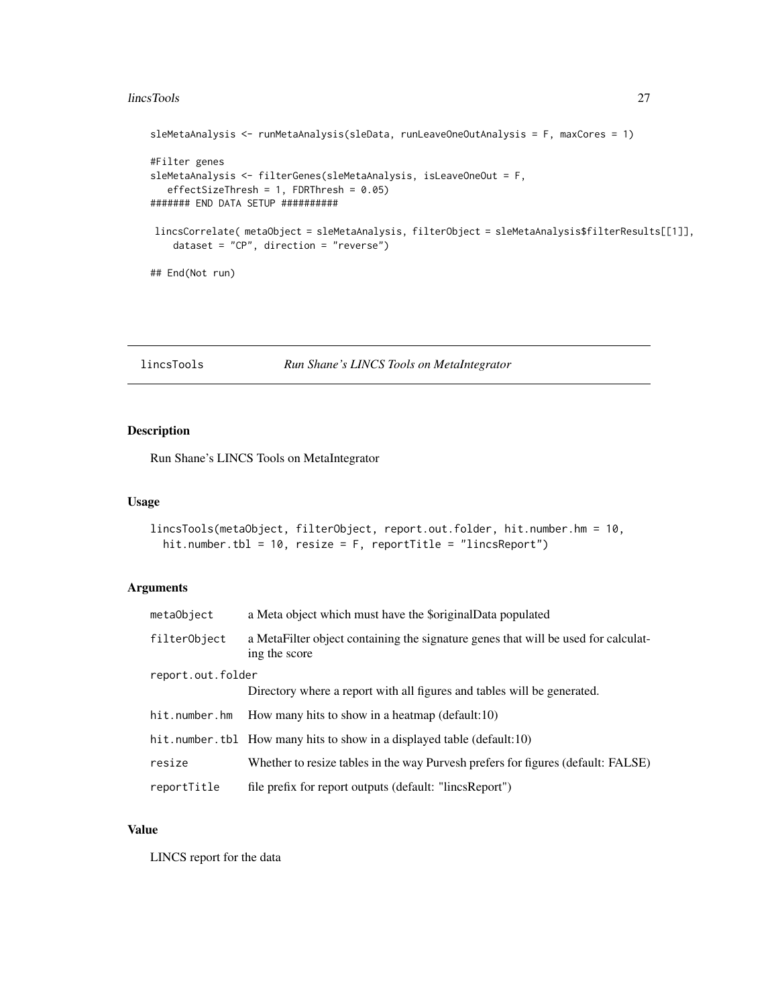#### <span id="page-26-0"></span>lincsTools 27

```
sleMetaAnalysis <- runMetaAnalysis(sleData, runLeaveOneOutAnalysis = F, maxCores = 1)
#Filter genes
sleMetaAnalysis <- filterGenes(sleMetaAnalysis, isLeaveOneOut = F,
  effectSizeThresh = 1, FDRThresh = 0.05)
####### END DATA SETUP ##########
lincsCorrelate( metaObject = sleMetaAnalysis, filterObject = sleMetaAnalysis$filterResults[[1]],
    dataset = "CP", direction = "reverse")
## End(Not run)
```

```
lincsTools Run Shane's LINCS Tools on MetaIntegrator
```
## Description

Run Shane's LINCS Tools on MetaIntegrator

## Usage

```
lincsTools(metaObject, filterObject, report.out.folder, hit.number.hm = 10,
  hit.number.tbl = 10, resize = F, reportTitle = "lincsReport")
```
## Arguments

| metaObject        | a Meta object which must have the \$originalData populated                                          |  |
|-------------------|-----------------------------------------------------------------------------------------------------|--|
| filterObject      | a MetaFilter object containing the signature genes that will be used for calculat-<br>ing the score |  |
| report.out.folder |                                                                                                     |  |
|                   | Directory where a report with all figures and tables will be generated.                             |  |
| hit.number.hm     | How many hits to show in a heatmap (default:10)                                                     |  |
|                   | hit.number.tbl How many hits to show in a displayed table (default:10)                              |  |
| resize            | Whether to resize tables in the way Purvesh prefers for figures (default: FALSE)                    |  |
| reportTitle       | file prefix for report outputs (default: "lincsReport")                                             |  |

## Value

LINCS report for the data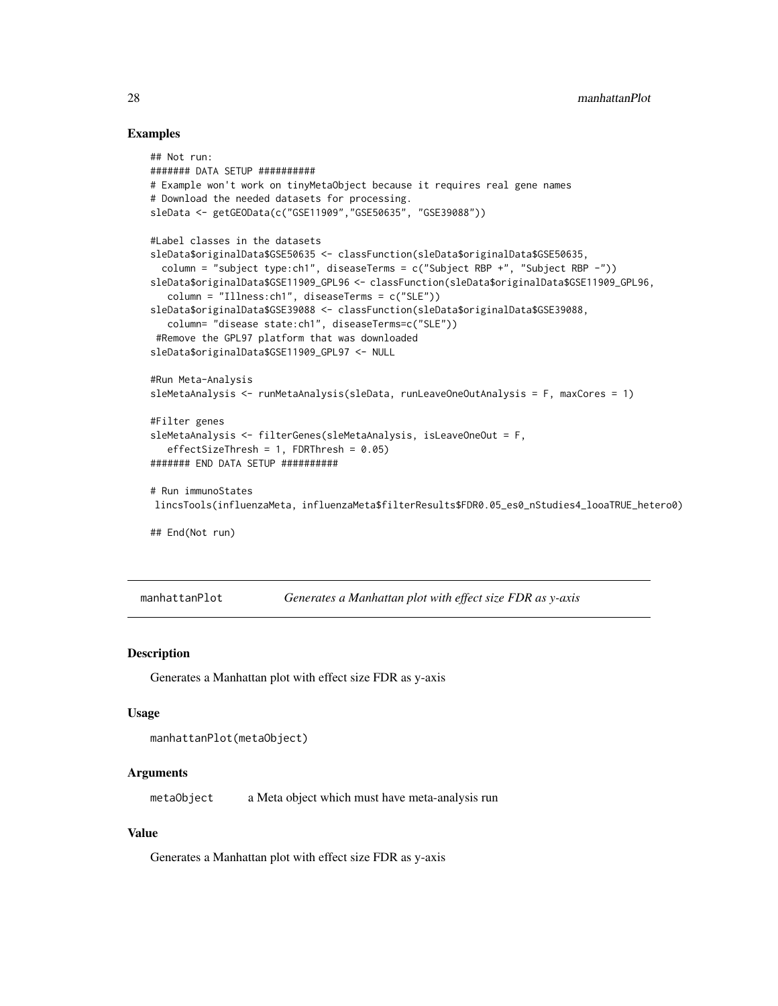## Examples

```
## Not run:
####### DATA SETUP ##########
# Example won't work on tinyMetaObject because it requires real gene names
# Download the needed datasets for processing.
sleData <- getGEOData(c("GSE11909","GSE50635", "GSE39088"))
#Label classes in the datasets
sleData$originalData$GSE50635 <- classFunction(sleData$originalData$GSE50635,
  column = "subject type:ch1", diseaseTerms = c("Subject RBP +", "Subject RBP -"))
sleData$originalData$GSE11909_GPL96 <- classFunction(sleData$originalData$GSE11909_GPL96,
   column = "Illness:ch1", diseaseTerms = c("SLE"))
sleData$originalData$GSE39088 <- classFunction(sleData$originalData$GSE39088,
   column= "disease state:ch1", diseaseTerms=c("SLE"))
 #Remove the GPL97 platform that was downloaded
sleData$originalData$GSE11909_GPL97 <- NULL
#Run Meta-Analysis
sleMetaAnalysis <- runMetaAnalysis(sleData, runLeaveOneOutAnalysis = F, maxCores = 1)
#Filter genes
sleMetaAnalysis <- filterGenes(sleMetaAnalysis, isLeaveOneOut = F,
   effectSizeThresh = 1, FDRThresh = 0.05)
####### END DATA SETUP ##########
# Run immunoStates
lincsTools(influenzaMeta, influenzaMeta$filterResults$FDR0.05_es0_nStudies4_looaTRUE_hetero0)
## End(Not run)
```
manhattanPlot *Generates a Manhattan plot with effect size FDR as y-axis*

#### Description

Generates a Manhattan plot with effect size FDR as y-axis

#### Usage

```
manhattanPlot(metaObject)
```
#### Arguments

metaObject a Meta object which must have meta-analysis run

## Value

Generates a Manhattan plot with effect size FDR as y-axis

<span id="page-27-0"></span>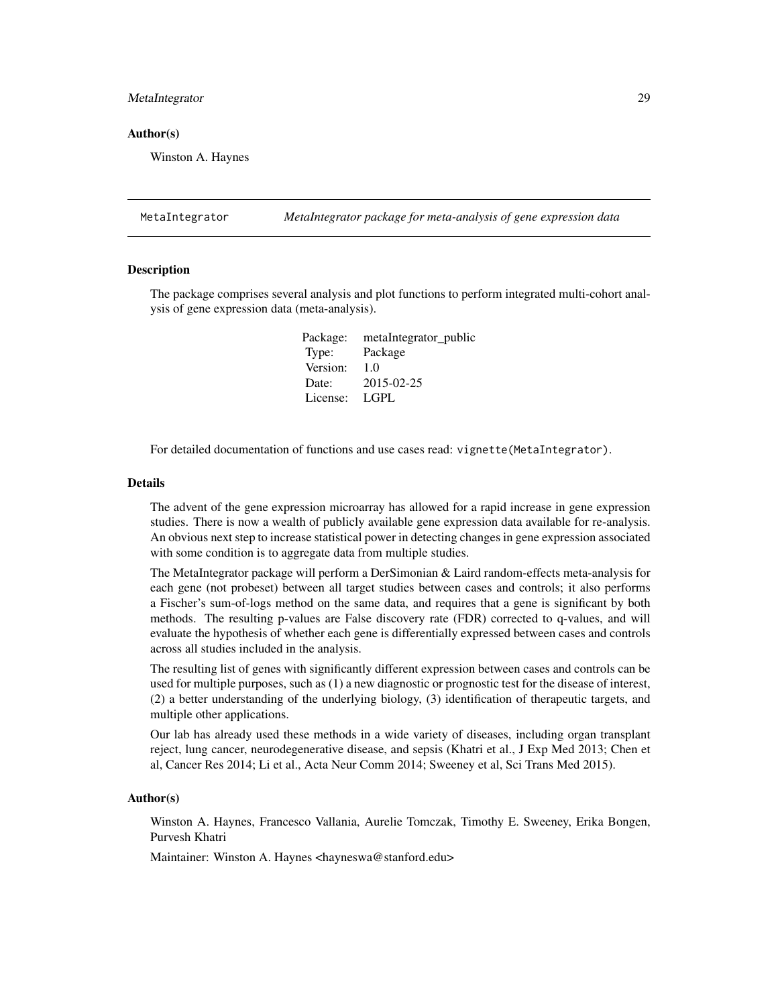#### <span id="page-28-0"></span>MetaIntegrator 29

#### Author(s)

Winston A. Haynes

MetaIntegrator *MetaIntegrator package for meta-analysis of gene expression data*

#### Description

The package comprises several analysis and plot functions to perform integrated multi-cohort analysis of gene expression data (meta-analysis).

> Package: metaIntegrator\_public Type: Package Version: 1.0 Date: 2015-02-25 License: LGPL

For detailed documentation of functions and use cases read: vignette(MetaIntegrator).

## Details

The advent of the gene expression microarray has allowed for a rapid increase in gene expression studies. There is now a wealth of publicly available gene expression data available for re-analysis. An obvious next step to increase statistical power in detecting changes in gene expression associated with some condition is to aggregate data from multiple studies.

The MetaIntegrator package will perform a DerSimonian & Laird random-effects meta-analysis for each gene (not probeset) between all target studies between cases and controls; it also performs a Fischer's sum-of-logs method on the same data, and requires that a gene is significant by both methods. The resulting p-values are False discovery rate (FDR) corrected to q-values, and will evaluate the hypothesis of whether each gene is differentially expressed between cases and controls across all studies included in the analysis.

The resulting list of genes with significantly different expression between cases and controls can be used for multiple purposes, such as (1) a new diagnostic or prognostic test for the disease of interest, (2) a better understanding of the underlying biology, (3) identification of therapeutic targets, and multiple other applications.

Our lab has already used these methods in a wide variety of diseases, including organ transplant reject, lung cancer, neurodegenerative disease, and sepsis (Khatri et al., J Exp Med 2013; Chen et al, Cancer Res 2014; Li et al., Acta Neur Comm 2014; Sweeney et al, Sci Trans Med 2015).

#### Author(s)

Winston A. Haynes, Francesco Vallania, Aurelie Tomczak, Timothy E. Sweeney, Erika Bongen, Purvesh Khatri

Maintainer: Winston A. Haynes <hayneswa@stanford.edu>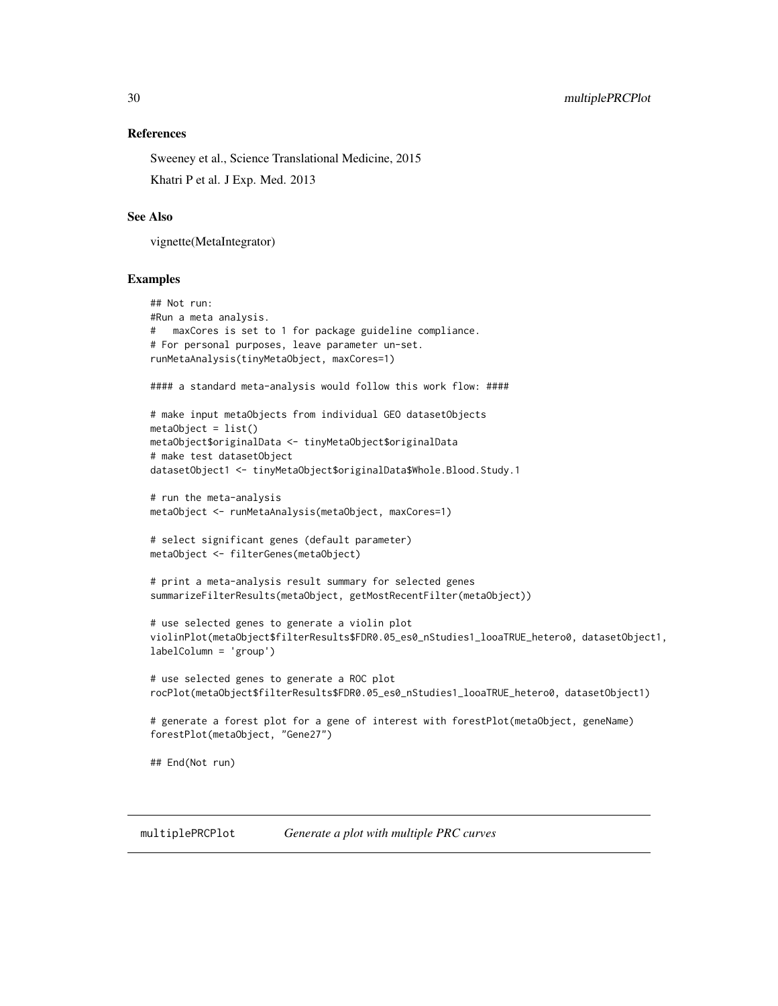#### References

Sweeney et al., Science Translational Medicine, 2015 Khatri P et al. J Exp. Med. 2013

## See Also

vignette(MetaIntegrator)

## Examples

```
## Not run:
#Run a meta analysis.
# maxCores is set to 1 for package guideline compliance.
# For personal purposes, leave parameter un-set.
runMetaAnalysis(tinyMetaObject, maxCores=1)
#### a standard meta-analysis would follow this work flow: ####
# make input metaObjects from individual GEO datasetObjects
metaObject = list()metaObject$originalData <- tinyMetaObject$originalData
# make test datasetObject
datasetObject1 <- tinyMetaObject$originalData$Whole.Blood.Study.1
# run the meta-analysis
metaObject <- runMetaAnalysis(metaObject, maxCores=1)
# select significant genes (default parameter)
metaObject <- filterGenes(metaObject)
# print a meta-analysis result summary for selected genes
summarizeFilterResults(metaObject, getMostRecentFilter(metaObject))
# use selected genes to generate a violin plot
violinPlot(metaObject$filterResults$FDR0.05_es0_nStudies1_looaTRUE_hetero0, datasetObject1,
labelColumn = 'group')
# use selected genes to generate a ROC plot
rocPlot(metaObject$filterResults$FDR0.05_es0_nStudies1_looaTRUE_hetero0, datasetObject1)
# generate a forest plot for a gene of interest with forestPlot(metaObject, geneName)
forestPlot(metaObject, "Gene27")
## End(Not run)
```
<span id="page-29-1"></span>multiplePRCPlot *Generate a plot with multiple PRC curves*

<span id="page-29-0"></span>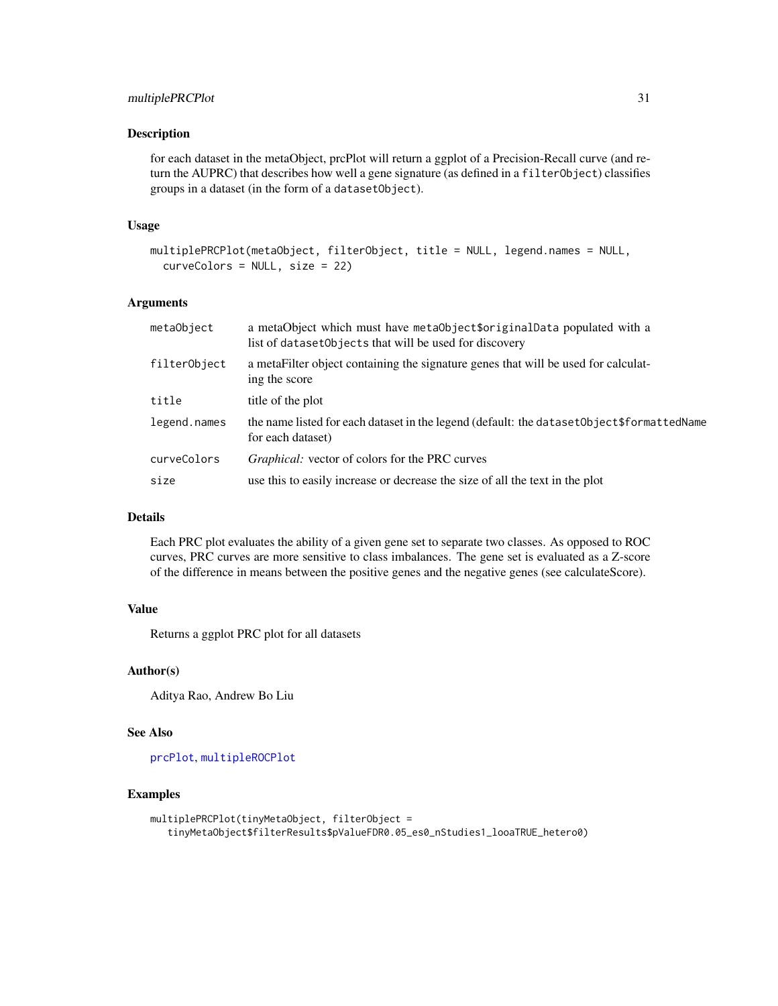<span id="page-30-0"></span>for each dataset in the metaObject, prcPlot will return a ggplot of a Precision-Recall curve (and return the AUPRC) that describes how well a gene signature (as defined in a filterObject) classifies groups in a dataset (in the form of a datasetObject).

## Usage

```
multiplePRCPlot(metaObject, filterObject, title = NULL, legend.names = NULL,
  curveColors = NULL, size = 22)
```
#### Arguments

| metaObject   | a metaObject which must have metaObject\$originalData populated with a<br>list of dataset Objects that will be used for discovery |
|--------------|-----------------------------------------------------------------------------------------------------------------------------------|
| filterObject | a metaFilter object containing the signature genes that will be used for calculat-<br>ing the score                               |
| title        | title of the plot                                                                                                                 |
| legend.names | the name listed for each dataset in the legend (default: the dataset Object \$formatted Name<br>for each dataset)                 |
| curveColors  | <i>Graphical:</i> vector of colors for the PRC curves                                                                             |
| size         | use this to easily increase or decrease the size of all the text in the plot                                                      |
|              |                                                                                                                                   |

## Details

Each PRC plot evaluates the ability of a given gene set to separate two classes. As opposed to ROC curves, PRC curves are more sensitive to class imbalances. The gene set is evaluated as a Z-score of the difference in means between the positive genes and the negative genes (see calculateScore).

## Value

Returns a ggplot PRC plot for all datasets

## Author(s)

Aditya Rao, Andrew Bo Liu

## See Also

[prcPlot](#page-33-1), [multipleROCPlot](#page-31-1)

## Examples

```
multiplePRCPlot(tinyMetaObject, filterObject =
   tinyMetaObject$filterResults$pValueFDR0.05_es0_nStudies1_looaTRUE_hetero0)
```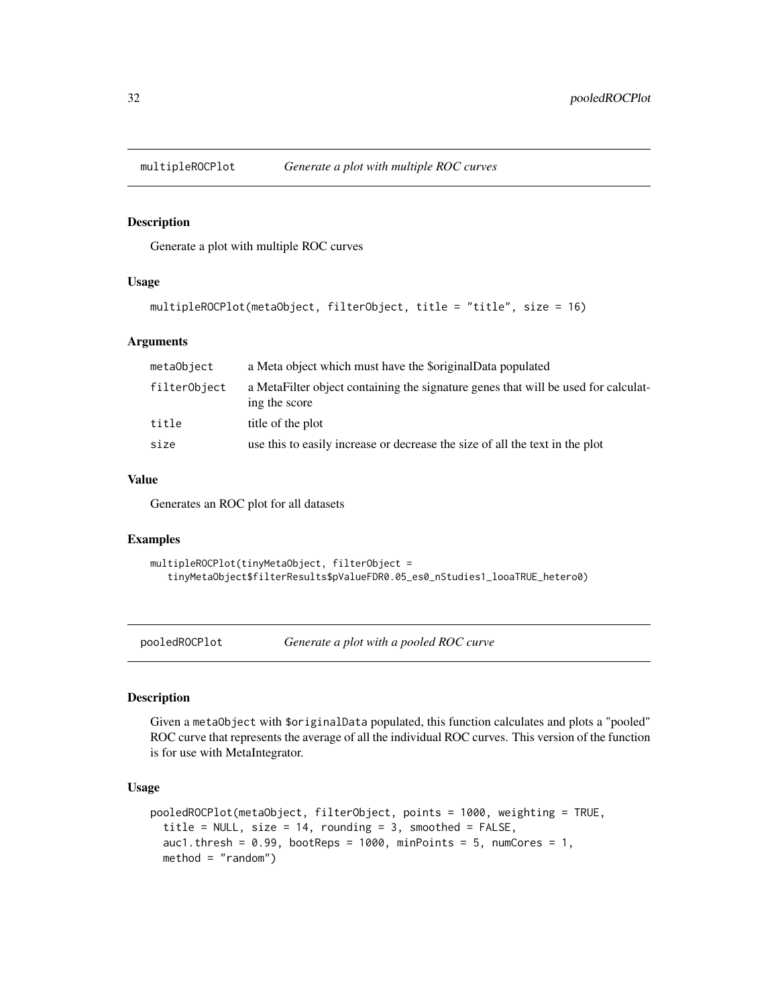<span id="page-31-1"></span><span id="page-31-0"></span>

Generate a plot with multiple ROC curves

#### Usage

```
multipleROCPlot(metaObject, filterObject, title = "title", size = 16)
```
## Arguments

| metaObject   | a Meta object which must have the \$originalData populated                                          |
|--------------|-----------------------------------------------------------------------------------------------------|
| filterObject | a MetaFilter object containing the signature genes that will be used for calculat-<br>ing the score |
| title        | title of the plot                                                                                   |
| size         | use this to easily increase or decrease the size of all the text in the plot                        |

## Value

Generates an ROC plot for all datasets

#### Examples

```
multipleROCPlot(tinyMetaObject, filterObject =
   tinyMetaObject$filterResults$pValueFDR0.05_es0_nStudies1_looaTRUE_hetero0)
```
pooledROCPlot *Generate a plot with a pooled ROC curve*

## Description

Given a metaObject with \$originalData populated, this function calculates and plots a "pooled" ROC curve that represents the average of all the individual ROC curves. This version of the function is for use with MetaIntegrator.

#### Usage

```
pooledROCPlot(metaObject, filterObject, points = 1000, weighting = TRUE,
  title = NULL, size = 14, rounding = 3, smoothed = FALSE,
  auc1.thresh = 0.99, bootReps = 1000, minPoints = 5, numCores = 1,
 method = "random")
```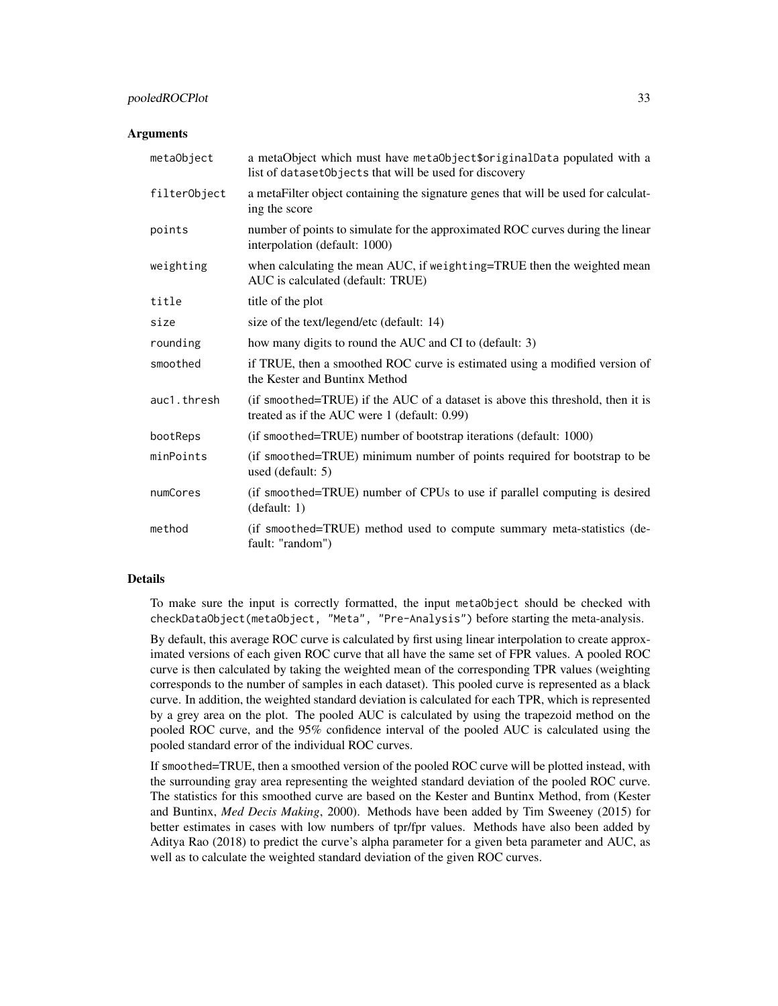#### pooledROCPlot 33

#### **Arguments**

| metaObject   | a metaObject which must have metaObject\$originalData populated with a<br>list of dataset Objects that will be used for discovery |
|--------------|-----------------------------------------------------------------------------------------------------------------------------------|
| filterObject | a metaFilter object containing the signature genes that will be used for calculat-<br>ing the score                               |
| points       | number of points to simulate for the approximated ROC curves during the linear<br>interpolation (default: 1000)                   |
| weighting    | when calculating the mean AUC, if weighting=TRUE then the weighted mean<br>AUC is calculated (default: TRUE)                      |
| title        | title of the plot                                                                                                                 |
| size         | size of the text/legend/etc (default: 14)                                                                                         |
| rounding     | how many digits to round the AUC and CI to (default: 3)                                                                           |
| smoothed     | if TRUE, then a smoothed ROC curve is estimated using a modified version of<br>the Kester and Buntinx Method                      |
| auc1.thresh  | (if smoothed=TRUE) if the AUC of a dataset is above this threshold, then it is<br>treated as if the AUC were 1 (default: 0.99)    |
| bootReps     | (if smoothed=TRUE) number of bootstrap iterations (default: 1000)                                                                 |
| minPoints    | (if smoothed=TRUE) minimum number of points required for bootstrap to be<br>used (default: 5)                                     |
| numCores     | (if smoothed=TRUE) number of CPUs to use if parallel computing is desired<br>(default: 1)                                         |
| method       | (if smoothed=TRUE) method used to compute summary meta-statistics (de-<br>fault: "random")                                        |

#### Details

To make sure the input is correctly formatted, the input metaObject should be checked with checkDataObject(metaObject, "Meta", "Pre-Analysis") before starting the meta-analysis.

By default, this average ROC curve is calculated by first using linear interpolation to create approximated versions of each given ROC curve that all have the same set of FPR values. A pooled ROC curve is then calculated by taking the weighted mean of the corresponding TPR values (weighting corresponds to the number of samples in each dataset). This pooled curve is represented as a black curve. In addition, the weighted standard deviation is calculated for each TPR, which is represented by a grey area on the plot. The pooled AUC is calculated by using the trapezoid method on the pooled ROC curve, and the 95% confidence interval of the pooled AUC is calculated using the pooled standard error of the individual ROC curves.

If smoothed=TRUE, then a smoothed version of the pooled ROC curve will be plotted instead, with the surrounding gray area representing the weighted standard deviation of the pooled ROC curve. The statistics for this smoothed curve are based on the Kester and Buntinx Method, from (Kester and Buntinx, *Med Decis Making*, 2000). Methods have been added by Tim Sweeney (2015) for better estimates in cases with low numbers of tpr/fpr values. Methods have also been added by Aditya Rao (2018) to predict the curve's alpha parameter for a given beta parameter and AUC, as well as to calculate the weighted standard deviation of the given ROC curves.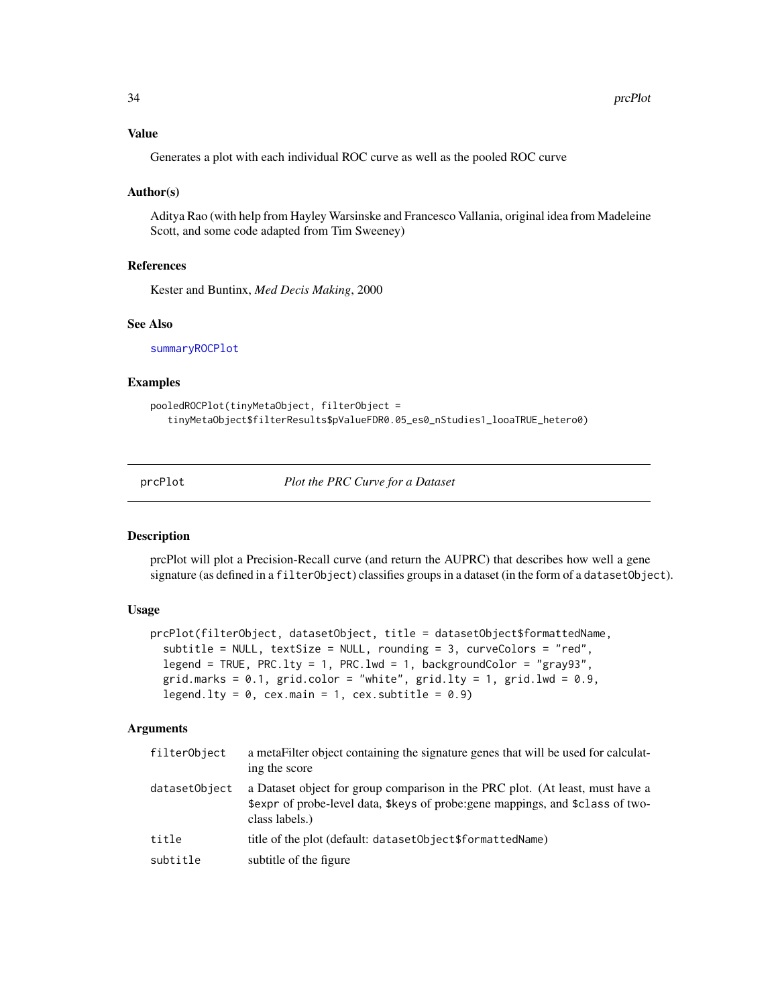## <span id="page-33-0"></span>Value

Generates a plot with each individual ROC curve as well as the pooled ROC curve

#### Author(s)

Aditya Rao (with help from Hayley Warsinske and Francesco Vallania, original idea from Madeleine Scott, and some code adapted from Tim Sweeney)

## References

Kester and Buntinx, *Med Decis Making*, 2000

#### See Also

[summaryROCPlot](#page-40-1)

#### Examples

```
pooledROCPlot(tinyMetaObject, filterObject =
   tinyMetaObject$filterResults$pValueFDR0.05_es0_nStudies1_looaTRUE_hetero0)
```
<span id="page-33-1"></span>prcPlot *Plot the PRC Curve for a Dataset*

## Description

prcPlot will plot a Precision-Recall curve (and return the AUPRC) that describes how well a gene signature (as defined in a filterObject) classifies groups in a dataset (in the form of a datasetObject).

## Usage

```
prcPlot(filterObject, datasetObject, title = datasetObject$formattedName,
  subtitle = NULL, textSize = NULL, rounding = 3, curveColors = "red",
  legend = TRUE, PRC.lty = 1, PRC.lwd = 1, backgroundColor = "gray93",
  grid.marks = 0.1, grid.color = "white", grid.lty = 1, grid.lwd = 0.9,
  legend.lty = 0, cex.main = 1, cex.subtitle = 0.9)
```
## **Arguments**

| filterObject  | a metaFilter object containing the signature genes that will be used for calculat-<br>ing the score                                                                                |
|---------------|------------------------------------------------------------------------------------------------------------------------------------------------------------------------------------|
| datasetObject | a Dataset object for group comparison in the PRC plot. (At least, must have a<br>\$expr of probe-level data, \$keys of probe: gene mappings, and \$class of two-<br>class labels.) |
| title         | title of the plot (default: datasetObject\$formattedName)                                                                                                                          |
| subtitle      | subtitle of the figure                                                                                                                                                             |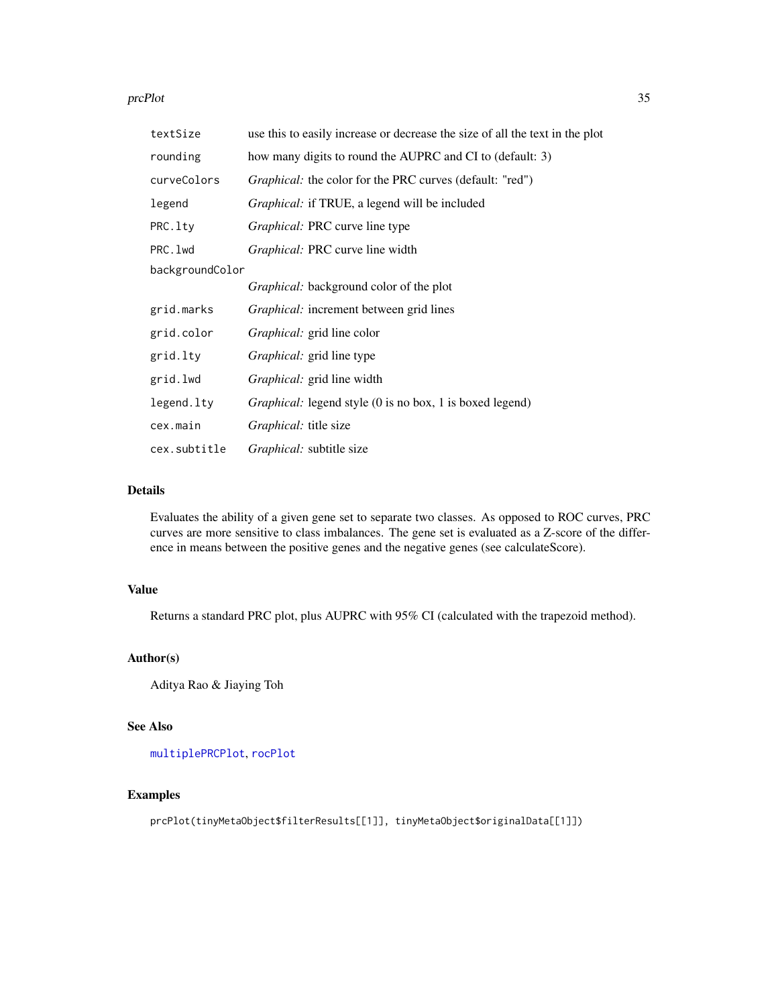#### <span id="page-34-0"></span>prcPlot 35

| textSize        | use this to easily increase or decrease the size of all the text in the plot |
|-----------------|------------------------------------------------------------------------------|
| rounding        | how many digits to round the AUPRC and CI to (default: 3)                    |
| curveColors     | <i>Graphical:</i> the color for the PRC curves (default: "red")              |
| legend          | Graphical: if TRUE, a legend will be included                                |
| PRC.lty         | Graphical: PRC curve line type                                               |
| PRC. 1wd        | <i>Graphical:</i> PRC curve line width                                       |
| backgroundColor |                                                                              |
|                 | Graphical: background color of the plot                                      |
| grid.marks      | <i>Graphical:</i> increment between grid lines                               |
| grid.color      | <i>Graphical:</i> grid line color                                            |
| grid.lty        | <i>Graphical:</i> grid line type                                             |
| grid.lwd        | <i>Graphical:</i> grid line width                                            |
| legend.lty      | <i>Graphical:</i> legend style (0 is no box, 1 is boxed legend)              |
| cex.main        | <i>Graphical:</i> title size                                                 |
| cex.subtitle    | <i>Graphical:</i> subtitle size                                              |

## Details

Evaluates the ability of a given gene set to separate two classes. As opposed to ROC curves, PRC curves are more sensitive to class imbalances. The gene set is evaluated as a Z-score of the difference in means between the positive genes and the negative genes (see calculateScore).

## Value

Returns a standard PRC plot, plus AUPRC with 95% CI (calculated with the trapezoid method).

## Author(s)

Aditya Rao & Jiaying Toh

## See Also

[multiplePRCPlot](#page-29-1), [rocPlot](#page-36-1)

## Examples

prcPlot(tinyMetaObject\$filterResults[[1]], tinyMetaObject\$originalData[[1]])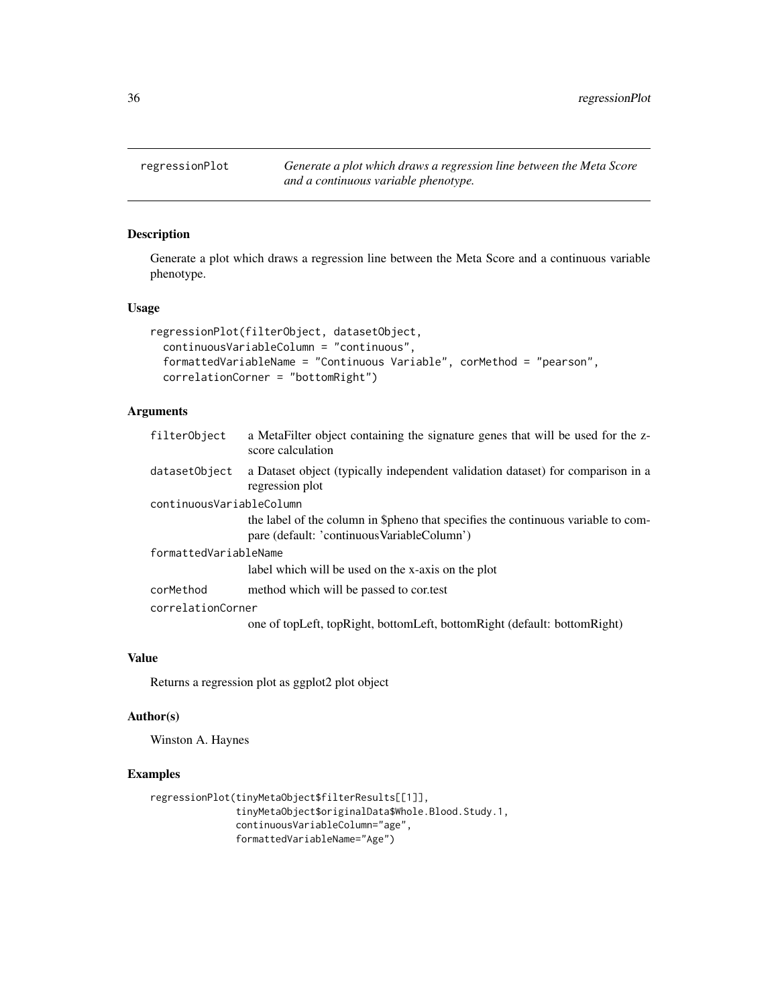<span id="page-35-0"></span>regressionPlot *Generate a plot which draws a regression line between the Meta Score and a continuous variable phenotype.*

## Description

Generate a plot which draws a regression line between the Meta Score and a continuous variable phenotype.

## Usage

```
regressionPlot(filterObject, datasetObject,
 continuousVariableColumn = "continuous",
 formattedVariableName = "Continuous Variable", corMethod = "pearson",
 correlationCorner = "bottomRight")
```
## Arguments

| filterObject             | a MetaFilter object containing the signature genes that will be used for the z-<br>score calculation                              |
|--------------------------|-----------------------------------------------------------------------------------------------------------------------------------|
| datasetObject            | a Dataset object (typically independent validation dataset) for comparison in a<br>regression plot                                |
| continuousVariableColumn |                                                                                                                                   |
|                          | the label of the column in \$pheno that specifies the continuous variable to com-<br>pare (default: 'continuous Variable Column') |
| formattedVariableName    |                                                                                                                                   |
|                          | label which will be used on the x-axis on the plot                                                                                |
| corMethod                | method which will be passed to contest                                                                                            |
| correlationCorner        |                                                                                                                                   |
|                          | one of topLeft, topRight, bottomLeft, bottomRight (default: bottomRight)                                                          |

## Value

Returns a regression plot as ggplot2 plot object

#### Author(s)

Winston A. Haynes

## Examples

```
regressionPlot(tinyMetaObject$filterResults[[1]],
               tinyMetaObject$originalData$Whole.Blood.Study.1,
               continuousVariableColumn="age",
               formattedVariableName="Age")
```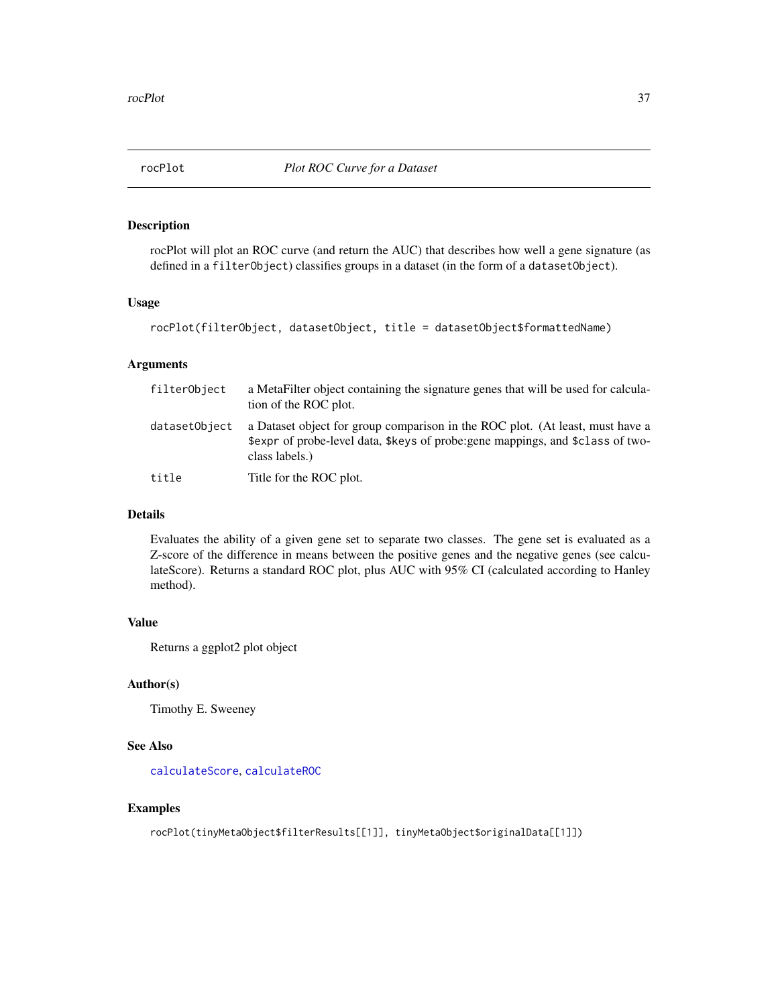<span id="page-36-1"></span><span id="page-36-0"></span>

rocPlot will plot an ROC curve (and return the AUC) that describes how well a gene signature (as defined in a filterObject) classifies groups in a dataset (in the form of a datasetObject).

#### Usage

```
rocPlot(filterObject, datasetObject, title = datasetObject$formattedName)
```
## Arguments

| filterObject  | a MetaFilter object containing the signature genes that will be used for calcula-<br>tion of the ROC plot.                                                                         |
|---------------|------------------------------------------------------------------------------------------------------------------------------------------------------------------------------------|
| datasetObject | a Dataset object for group comparison in the ROC plot. (At least, must have a<br>\$expr of probe-level data, \$keys of probe: gene mappings, and \$class of two-<br>class labels.) |
| title         | Title for the ROC plot.                                                                                                                                                            |

## Details

Evaluates the ability of a given gene set to separate two classes. The gene set is evaluated as a Z-score of the difference in means between the positive genes and the negative genes (see calculateScore). Returns a standard ROC plot, plus AUC with 95% CI (calculated according to Hanley method).

## Value

Returns a ggplot2 plot object

## Author(s)

Timothy E. Sweeney

## See Also

[calculateScore](#page-5-1), [calculateROC](#page-4-1)

## Examples

rocPlot(tinyMetaObject\$filterResults[[1]], tinyMetaObject\$originalData[[1]])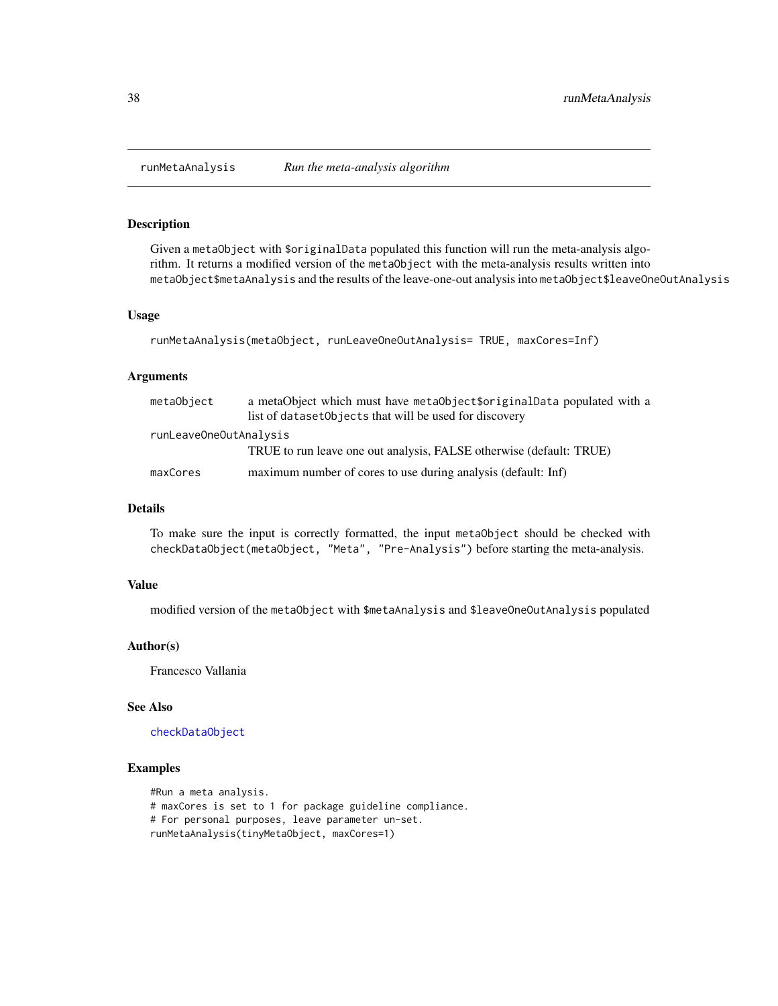<span id="page-37-1"></span><span id="page-37-0"></span>

Given a metaObject with \$originalData populated this function will run the meta-analysis algorithm. It returns a modified version of the metaObject with the meta-analysis results written into metaObject\$metaAnalysis and the results of the leave-one-out analysis into metaObject\$leaveOneOutAnalysis

#### Usage

```
runMetaAnalysis(metaObject, runLeaveOneOutAnalysis= TRUE, maxCores=Inf)
```
## Arguments

| metaObject             | a metaObject which must have metaObject\$originalData populated with a<br>list of dataset Objects that will be used for discovery |
|------------------------|-----------------------------------------------------------------------------------------------------------------------------------|
| runLeaveOneOutAnalysis |                                                                                                                                   |
|                        | TRUE to run leave one out analysis, FALSE otherwise (default: TRUE)                                                               |
| maxCores               | maximum number of cores to use during analysis (default: Inf)                                                                     |

## Details

To make sure the input is correctly formatted, the input metaObject should be checked with checkDataObject(metaObject, "Meta", "Pre-Analysis") before starting the meta-analysis.

#### Value

modified version of the metaObject with \$metaAnalysis and \$leaveOneOutAnalysis populated

## Author(s)

Francesco Vallania

## See Also

[checkDataObject](#page-7-1)

## Examples

```
#Run a meta analysis.
# maxCores is set to 1 for package guideline compliance.
# For personal purposes, leave parameter un-set.
runMetaAnalysis(tinyMetaObject, maxCores=1)
```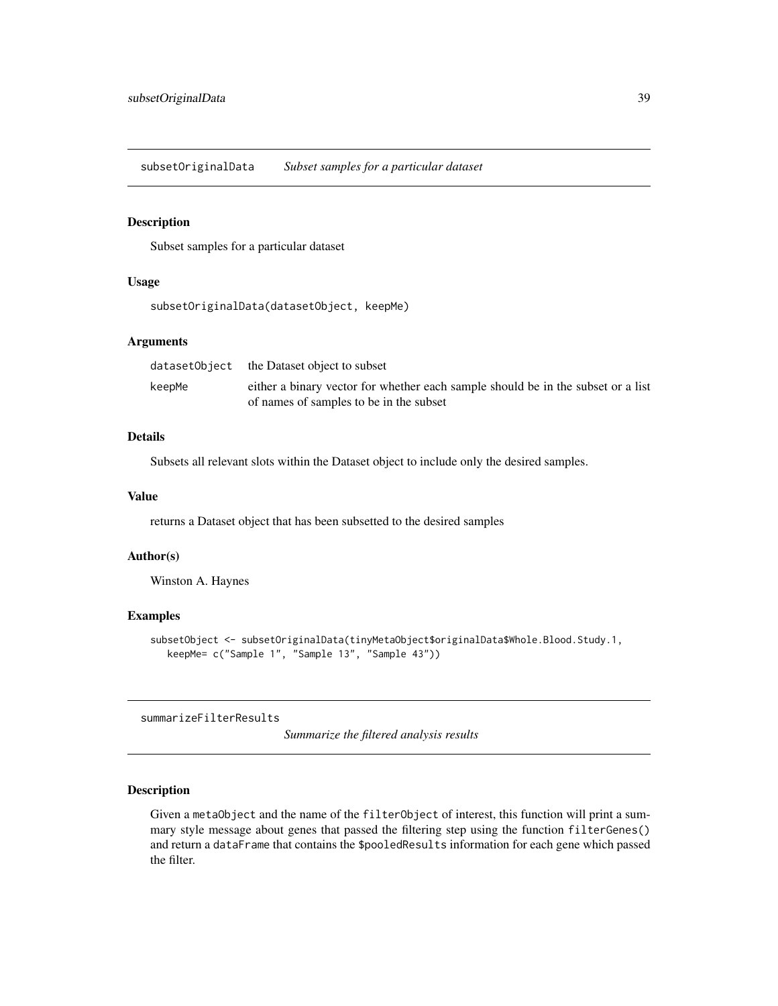<span id="page-38-0"></span>subsetOriginalData *Subset samples for a particular dataset*

## Description

Subset samples for a particular dataset

#### Usage

```
subsetOriginalData(datasetObject, keepMe)
```
## Arguments

|        | dataset0bject the Dataset object to subset                                       |
|--------|----------------------------------------------------------------------------------|
| keepMe | either a binary vector for whether each sample should be in the subset or a list |
|        | of names of samples to be in the subset                                          |

## Details

Subsets all relevant slots within the Dataset object to include only the desired samples.

## Value

returns a Dataset object that has been subsetted to the desired samples

## Author(s)

Winston A. Haynes

#### Examples

```
subsetObject <- subsetOriginalData(tinyMetaObject$originalData$Whole.Blood.Study.1,
  keepMe= c("Sample 1", "Sample 13", "Sample 43"))
```
summarizeFilterResults

*Summarize the filtered analysis results*

## Description

Given a metaObject and the name of the filterObject of interest, this function will print a summary style message about genes that passed the filtering step using the function filterGenes() and return a dataFrame that contains the \$pooledResults information for each gene which passed the filter.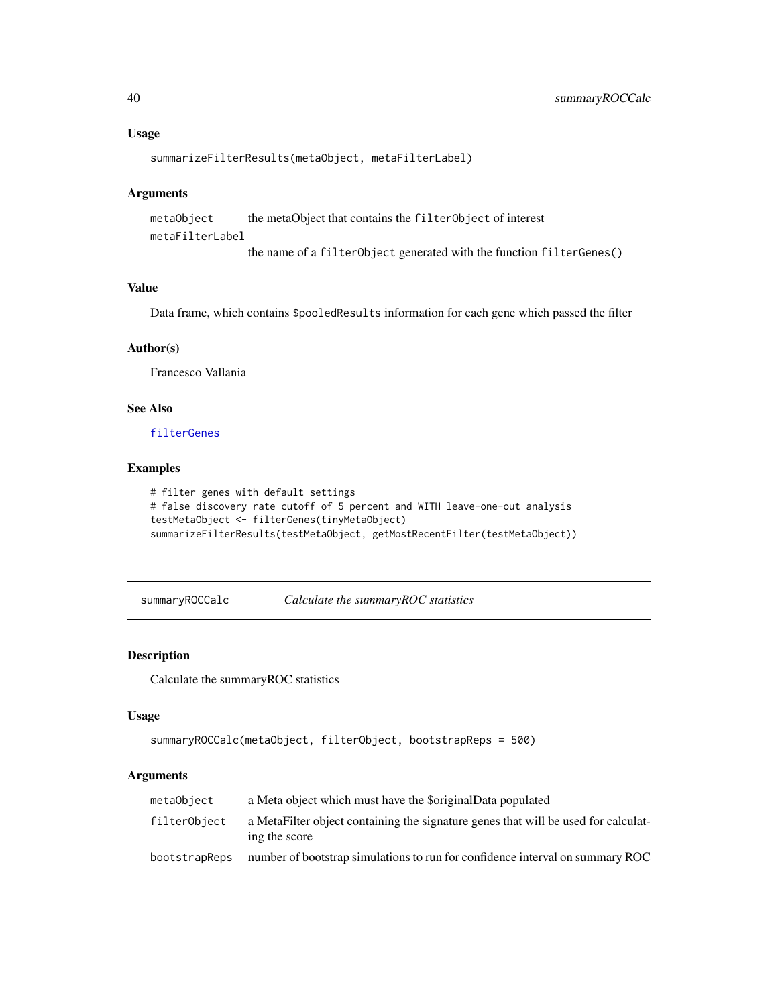#### Usage

```
summarizeFilterResults(metaObject, metaFilterLabel)
```
#### Arguments

```
metaObject the metaObject that contains the filterObject of interest
metaFilterLabel
```
the name of a filterObject generated with the function filterGenes()

## Value

Data frame, which contains \$pooledResults information for each gene which passed the filter

## Author(s)

Francesco Vallania

## See Also

[filterGenes](#page-11-1)

## Examples

```
# filter genes with default settings
# false discovery rate cutoff of 5 percent and WITH leave-one-out analysis
testMetaObject <- filterGenes(tinyMetaObject)
summarizeFilterResults(testMetaObject, getMostRecentFilter(testMetaObject))
```
summaryROCCalc *Calculate the summaryROC statistics*

## Description

Calculate the summaryROC statistics

## Usage

```
summaryROCCalc(metaObject, filterObject, bootstrapReps = 500)
```
## Arguments

| metaObject    | a Meta object which must have the \$originalData populated                                          |
|---------------|-----------------------------------------------------------------------------------------------------|
| filterObject  | a MetaFilter object containing the signature genes that will be used for calculat-<br>ing the score |
| bootstrapReps | number of bootstrap simulations to run for confidence interval on summary ROC                       |

<span id="page-39-0"></span>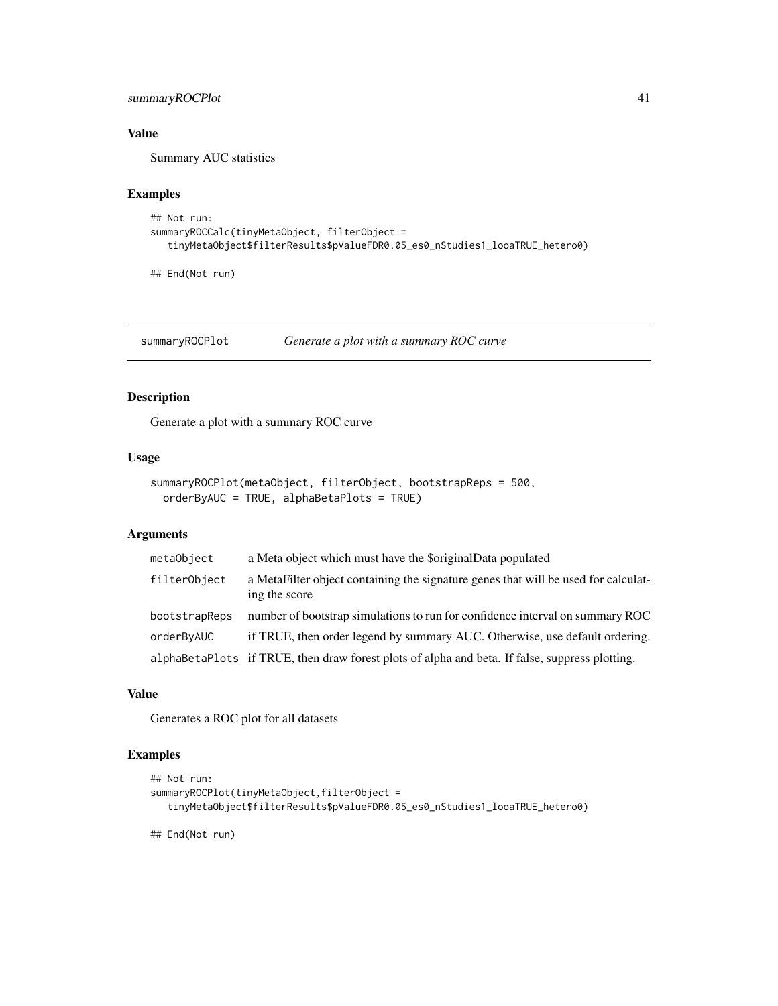## <span id="page-40-0"></span>summaryROCPlot 41

## Value

Summary AUC statistics

#### Examples

```
## Not run:
summaryROCCalc(tinyMetaObject, filterObject =
  tinyMetaObject$filterResults$pValueFDR0.05_es0_nStudies1_looaTRUE_hetero0)
```
## End(Not run)

<span id="page-40-1"></span>summaryROCPlot *Generate a plot with a summary ROC curve*

## Description

Generate a plot with a summary ROC curve

## Usage

```
summaryROCPlot(metaObject, filterObject, bootstrapReps = 500,
 orderByAUC = TRUE, alphaBetaPlots = TRUE)
```
## Arguments

| metaObject    | a Meta object which must have the \$originalData populated                                          |
|---------------|-----------------------------------------------------------------------------------------------------|
| filterObject  | a MetaFilter object containing the signature genes that will be used for calculat-<br>ing the score |
| bootstrapReps | number of bootstrap simulations to run for confidence interval on summary ROC                       |
| orderByAUC    | if TRUE, then order legend by summary AUC. Otherwise, use default ordering.                         |
|               | alphaBetaPlots if TRUE, then draw forest plots of alpha and beta. If false, suppress plotting.      |

#### Value

Generates a ROC plot for all datasets

## Examples

```
## Not run:
summaryROCPlot(tinyMetaObject,filterObject =
  tinyMetaObject$filterResults$pValueFDR0.05_es0_nStudies1_looaTRUE_hetero0)
```
## End(Not run)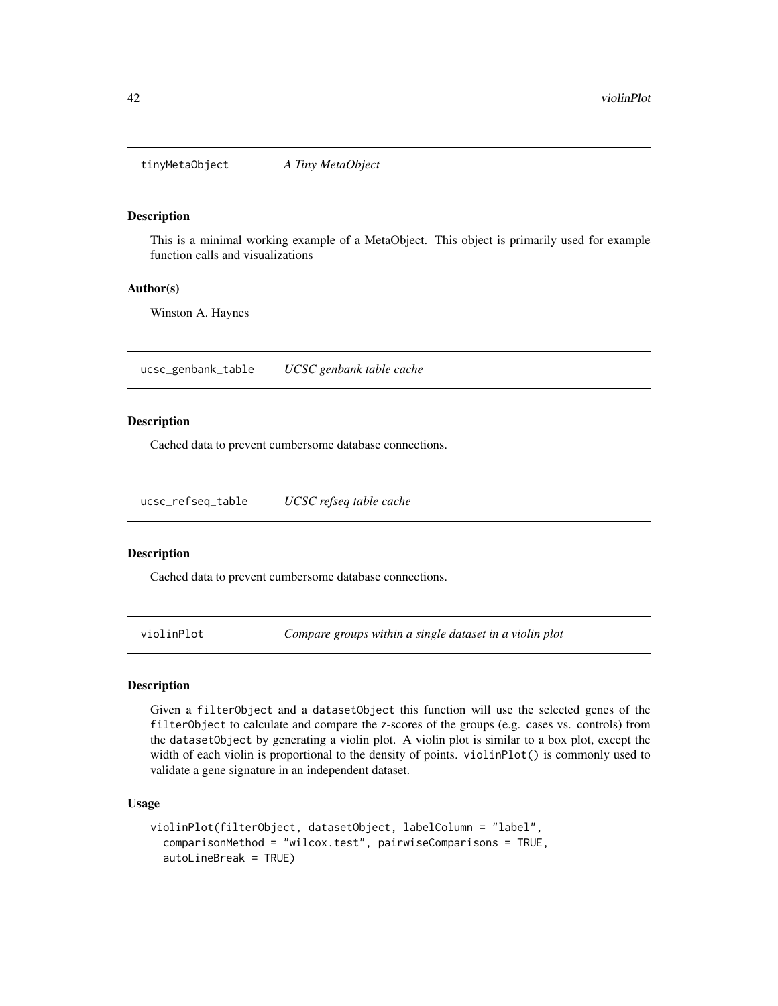<span id="page-41-0"></span>tinyMetaObject *A Tiny MetaObject*

## Description

This is a minimal working example of a MetaObject. This object is primarily used for example function calls and visualizations

#### Author(s)

Winston A. Haynes

ucsc\_genbank\_table *UCSC genbank table cache*

#### Description

Cached data to prevent cumbersome database connections.

ucsc\_refseq\_table *UCSC refseq table cache*

#### Description

Cached data to prevent cumbersome database connections.

<span id="page-41-1"></span>violinPlot *Compare groups within a single dataset in a violin plot*

## Description

Given a filterObject and a datasetObject this function will use the selected genes of the filterObject to calculate and compare the z-scores of the groups (e.g. cases vs. controls) from the datasetObject by generating a violin plot. A violin plot is similar to a box plot, except the width of each violin is proportional to the density of points. violinPlot() is commonly used to validate a gene signature in an independent dataset.

#### Usage

```
violinPlot(filterObject, datasetObject, labelColumn = "label",
  comparisonMethod = "wilcox.test", pairwiseComparisons = TRUE,
  autoLineBreak = TRUE)
```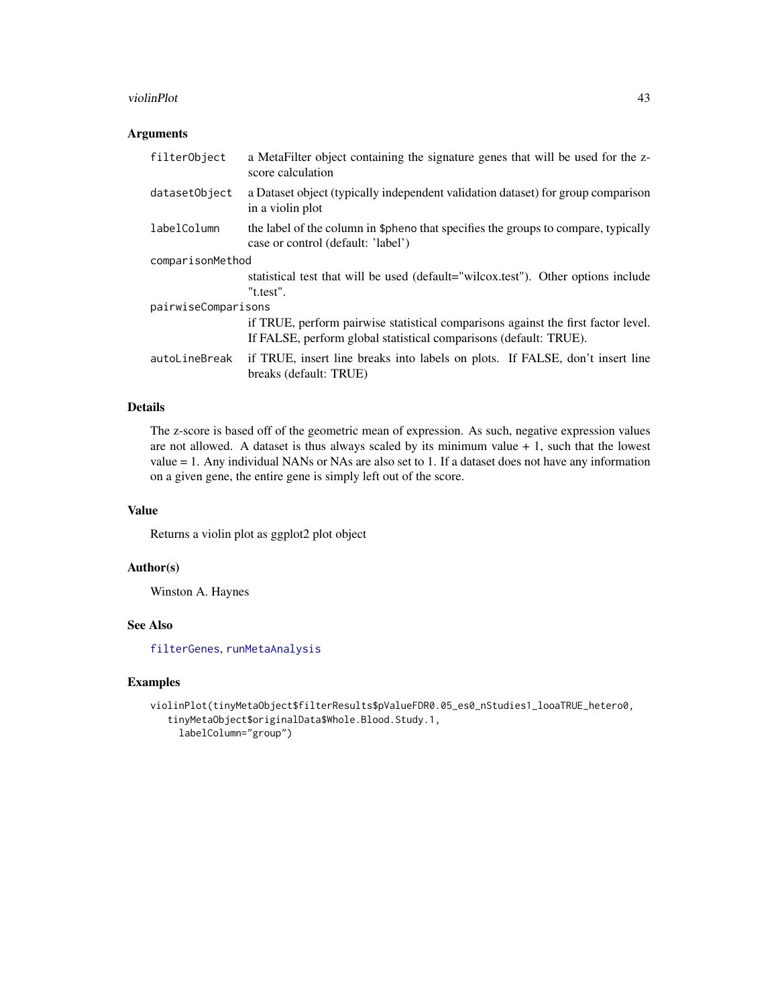#### <span id="page-42-0"></span>violinPlot 43

## Arguments

| filterObject        | a MetaFilter object containing the signature genes that will be used for the z-<br>score calculation                                                   |
|---------------------|--------------------------------------------------------------------------------------------------------------------------------------------------------|
| datasetObject       | a Dataset object (typically independent validation dataset) for group comparison<br>in a violin plot                                                   |
| labelColumn         | the label of the column in \$pheno that specifies the groups to compare, typically<br>case or control (default: 'label')                               |
| comparisonMethod    |                                                                                                                                                        |
|                     | statistical test that will be used (default="wilcox.test"). Other options include<br>"t.test".                                                         |
| pairwiseComparisons |                                                                                                                                                        |
|                     | if TRUE, perform pairwise statistical comparisons against the first factor level.<br>If FALSE, perform global statistical comparisons (default: TRUE). |
| autoLineBreak       | if TRUE, insert line breaks into labels on plots. If FALSE, don't insert line<br>breaks (default: TRUE)                                                |

## Details

The z-score is based off of the geometric mean of expression. As such, negative expression values are not allowed. A dataset is thus always scaled by its minimum value  $+1$ , such that the lowest value = 1. Any individual NANs or NAs are also set to 1. If a dataset does not have any information on a given gene, the entire gene is simply left out of the score.

## Value

Returns a violin plot as ggplot2 plot object

## Author(s)

Winston A. Haynes

## See Also

[filterGenes](#page-11-1), [runMetaAnalysis](#page-37-1)

#### Examples

```
violinPlot(tinyMetaObject$filterResults$pValueFDR0.05_es0_nStudies1_looaTRUE_hetero0,
   tinyMetaObject$originalData$Whole.Blood.Study.1,
    labelColumn="group")
```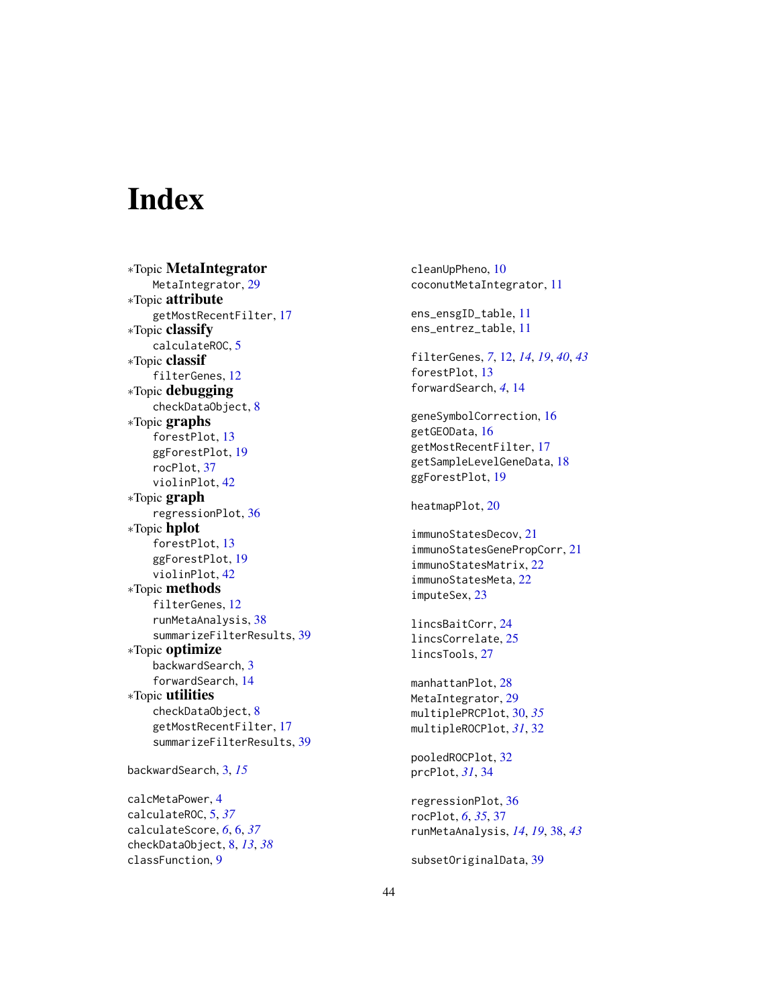# <span id="page-43-0"></span>**Index**

∗Topic MetaIntegrator MetaIntegrator, [29](#page-28-0) ∗Topic attribute getMostRecentFilter, [17](#page-16-0) ∗Topic classify calculateROC, [5](#page-4-0) ∗Topic classif filterGenes, [12](#page-11-0) ∗Topic debugging checkDataObject, [8](#page-7-0) ∗Topic graphs forestPlot, [13](#page-12-0) ggForestPlot, [19](#page-18-0) rocPlot, [37](#page-36-0) violinPlot, [42](#page-41-0) ∗Topic graph regressionPlot, [36](#page-35-0) ∗Topic hplot forestPlot, [13](#page-12-0) ggForestPlot, [19](#page-18-0) violinPlot, [42](#page-41-0) ∗Topic methods filterGenes, [12](#page-11-0) runMetaAnalysis, [38](#page-37-0) summarizeFilterResults, [39](#page-38-0) ∗Topic optimize backwardSearch, [3](#page-2-0) forwardSearch, [14](#page-13-0) ∗Topic utilities checkDataObject, [8](#page-7-0) getMostRecentFilter, [17](#page-16-0) summarizeFilterResults, [39](#page-38-0) backwardSearch, [3,](#page-2-0) *[15](#page-14-0)*

calcMetaPower, [4](#page-3-0) calculateROC, [5,](#page-4-0) *[37](#page-36-0)* calculateScore, *[6](#page-5-0)*, [6,](#page-5-0) *[37](#page-36-0)* checkDataObject, [8,](#page-7-0) *[13](#page-12-0)*, *[38](#page-37-0)* classFunction, [9](#page-8-0)

cleanUpPheno, [10](#page-9-0) coconutMetaIntegrator, [11](#page-10-0) ens\_ensgID\_table, [11](#page-10-0) ens\_entrez\_table, [11](#page-10-0) filterGenes, *[7](#page-6-0)*, [12,](#page-11-0) *[14](#page-13-0)*, *[19](#page-18-0)*, *[40](#page-39-0)*, *[43](#page-42-0)* forestPlot, [13](#page-12-0) forwardSearch, *[4](#page-3-0)*, [14](#page-13-0) geneSymbolCorrection, [16](#page-15-0) getGEOData, [16](#page-15-0) getMostRecentFilter, [17](#page-16-0) getSampleLevelGeneData, [18](#page-17-0) ggForestPlot, [19](#page-18-0) heatmapPlot, [20](#page-19-0) immunoStatesDecov, [21](#page-20-0) immunoStatesGenePropCorr, [21](#page-20-0) immunoStatesMatrix, [22](#page-21-0) immunoStatesMeta, [22](#page-21-0) imputeSex, [23](#page-22-0) lincsBaitCorr, [24](#page-23-0) lincsCorrelate, [25](#page-24-0) lincsTools, [27](#page-26-0) manhattanPlot, [28](#page-27-0) MetaIntegrator, [29](#page-28-0) multiplePRCPlot, [30,](#page-29-0) *[35](#page-34-0)* multipleROCPlot, *[31](#page-30-0)*, [32](#page-31-0) pooledROCPlot, [32](#page-31-0) prcPlot, *[31](#page-30-0)*, [34](#page-33-0) regressionPlot, [36](#page-35-0) rocPlot, *[6](#page-5-0)*, *[35](#page-34-0)*, [37](#page-36-0) runMetaAnalysis, *[14](#page-13-0)*, *[19](#page-18-0)*, [38,](#page-37-0) *[43](#page-42-0)*

subsetOriginalData, [39](#page-38-0)